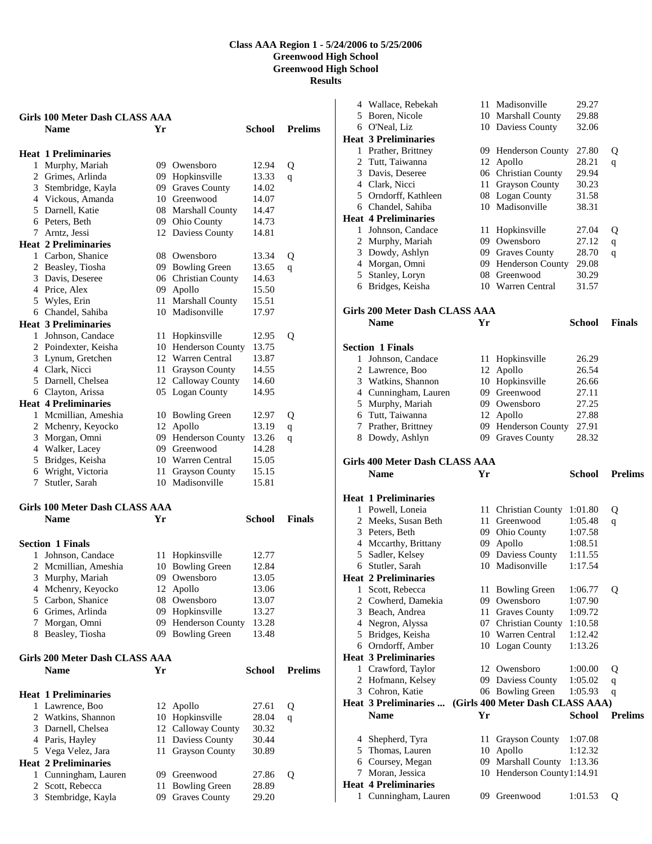| <b>Name</b><br>Yr<br>School<br><b>Heat 1 Preliminaries</b><br>1 Murphy, Mariah<br>09 Owensboro<br>12.94<br>Q<br>2 Grimes, Arlinda<br>09 Hopkinsville<br>13.33<br>q<br>09 Graves County<br>3 Stembridge, Kayla<br>14.02<br>4 Vickous, Amanda<br>10 Greenwood<br>14.07<br>5 Darnell, Katie<br>08 Marshall County<br>14.47<br>14.73<br>6 Peters, Beth<br>09 Ohio County<br>7 Arntz, Jessi<br>12 Daviess County<br>14.81<br><b>Heat 2 Preliminaries</b><br>1 Carbon, Shanice<br>08 Owensboro<br>13.34<br>Q<br>2 Beasley, Tiosha<br>09 Bowling Green<br>13.65<br>q<br>06 Christian County<br>3 Davis, Deseree<br>14.63<br>4 Price, Alex<br>09 Apollo<br>15.50<br>5 Wyles, Erin<br>11 Marshall County<br>15.51<br>6 Chandel, Sahiba<br>10 Madisonville<br>17.97<br><b>Heat 3 Preliminaries</b><br>1 Johnson, Candace<br>11 Hopkinsville<br>12.95<br>Q<br>2 Poindexter, Keisha<br>10 Henderson County<br>13.75<br>3 Lynum, Gretchen<br>12 Warren Central<br>13.87<br>4 Clark, Nicci<br><b>Grayson County</b><br>14.55<br>11<br>14.60<br>5 Darnell, Chelsea<br>12 Calloway County<br>6 Clayton, Arissa<br>05 Logan County<br>14.95<br><b>Heat 4 Preliminaries</b><br>1 Mcmillian, Ameshia<br>10 Bowling Green<br>12.97<br>Q<br>2 Mchenry, Keyocko<br>Apollo<br>13.19<br>12<br>$\mathbf q$<br>3 Morgan, Omni<br>09 Henderson County<br>13.26<br>q<br>4 Walker, Lacey<br>09 Greenwood<br>14.28<br>5 Bridges, Keisha<br>10 Warren Central<br>15.05<br>6 Wright, Victoria<br><b>Grayson County</b><br>15.15<br>11 -<br>10 Madisonville<br>Stutler, Sarah<br>7<br>15.81<br><b>Girls 100 Meter Dash CLASS AAA</b><br><b>Name</b><br>Yr<br>School<br><b>Section 1 Finals</b><br>Johnson, Candace<br>Hopkinsville<br>11<br>12.77<br>1.<br><b>Bowling Green</b><br>2 Mcmillian, Ameshia<br>10<br>12.84<br>09 Owensboro<br>3 Murphy, Mariah<br>13.05<br>4 Mchenry, Keyocko<br>12<br>Apollo<br>13.06<br>5 Carbon, Shanice<br>08<br>Owensboro<br>13.07<br>6 Grimes, Arlinda<br>09<br>Hopkinsville<br>13.27<br>09<br>Henderson County<br>13.28<br>7 Morgan, Omni<br>8 Beasley, Tiosha<br>09 Bowling Green<br>13.48<br>Girls 200 Meter Dash CLASS AAA<br><b>Name</b><br>Yr<br><b>School</b><br><b>Heat 1 Preliminaries</b> |                |  | Girls 100 Meter Dash CLASS AAA |  |
|------------------------------------------------------------------------------------------------------------------------------------------------------------------------------------------------------------------------------------------------------------------------------------------------------------------------------------------------------------------------------------------------------------------------------------------------------------------------------------------------------------------------------------------------------------------------------------------------------------------------------------------------------------------------------------------------------------------------------------------------------------------------------------------------------------------------------------------------------------------------------------------------------------------------------------------------------------------------------------------------------------------------------------------------------------------------------------------------------------------------------------------------------------------------------------------------------------------------------------------------------------------------------------------------------------------------------------------------------------------------------------------------------------------------------------------------------------------------------------------------------------------------------------------------------------------------------------------------------------------------------------------------------------------------------------------------------------------------------------------------------------------------------------------------------------------------------------------------------------------------------------------------------------------------------------------------------------------------------------------------------------------------------------------------------------------------------------------------------------------------------------------------------------------------------------------------------|----------------|--|--------------------------------|--|
|                                                                                                                                                                                                                                                                                                                                                                                                                                                                                                                                                                                                                                                                                                                                                                                                                                                                                                                                                                                                                                                                                                                                                                                                                                                                                                                                                                                                                                                                                                                                                                                                                                                                                                                                                                                                                                                                                                                                                                                                                                                                                                                                                                                                      | <b>Prelims</b> |  |                                |  |
|                                                                                                                                                                                                                                                                                                                                                                                                                                                                                                                                                                                                                                                                                                                                                                                                                                                                                                                                                                                                                                                                                                                                                                                                                                                                                                                                                                                                                                                                                                                                                                                                                                                                                                                                                                                                                                                                                                                                                                                                                                                                                                                                                                                                      |                |  |                                |  |
|                                                                                                                                                                                                                                                                                                                                                                                                                                                                                                                                                                                                                                                                                                                                                                                                                                                                                                                                                                                                                                                                                                                                                                                                                                                                                                                                                                                                                                                                                                                                                                                                                                                                                                                                                                                                                                                                                                                                                                                                                                                                                                                                                                                                      |                |  |                                |  |
|                                                                                                                                                                                                                                                                                                                                                                                                                                                                                                                                                                                                                                                                                                                                                                                                                                                                                                                                                                                                                                                                                                                                                                                                                                                                                                                                                                                                                                                                                                                                                                                                                                                                                                                                                                                                                                                                                                                                                                                                                                                                                                                                                                                                      |                |  |                                |  |
|                                                                                                                                                                                                                                                                                                                                                                                                                                                                                                                                                                                                                                                                                                                                                                                                                                                                                                                                                                                                                                                                                                                                                                                                                                                                                                                                                                                                                                                                                                                                                                                                                                                                                                                                                                                                                                                                                                                                                                                                                                                                                                                                                                                                      |                |  |                                |  |
|                                                                                                                                                                                                                                                                                                                                                                                                                                                                                                                                                                                                                                                                                                                                                                                                                                                                                                                                                                                                                                                                                                                                                                                                                                                                                                                                                                                                                                                                                                                                                                                                                                                                                                                                                                                                                                                                                                                                                                                                                                                                                                                                                                                                      |                |  |                                |  |
|                                                                                                                                                                                                                                                                                                                                                                                                                                                                                                                                                                                                                                                                                                                                                                                                                                                                                                                                                                                                                                                                                                                                                                                                                                                                                                                                                                                                                                                                                                                                                                                                                                                                                                                                                                                                                                                                                                                                                                                                                                                                                                                                                                                                      |                |  |                                |  |
|                                                                                                                                                                                                                                                                                                                                                                                                                                                                                                                                                                                                                                                                                                                                                                                                                                                                                                                                                                                                                                                                                                                                                                                                                                                                                                                                                                                                                                                                                                                                                                                                                                                                                                                                                                                                                                                                                                                                                                                                                                                                                                                                                                                                      |                |  |                                |  |
|                                                                                                                                                                                                                                                                                                                                                                                                                                                                                                                                                                                                                                                                                                                                                                                                                                                                                                                                                                                                                                                                                                                                                                                                                                                                                                                                                                                                                                                                                                                                                                                                                                                                                                                                                                                                                                                                                                                                                                                                                                                                                                                                                                                                      |                |  |                                |  |
|                                                                                                                                                                                                                                                                                                                                                                                                                                                                                                                                                                                                                                                                                                                                                                                                                                                                                                                                                                                                                                                                                                                                                                                                                                                                                                                                                                                                                                                                                                                                                                                                                                                                                                                                                                                                                                                                                                                                                                                                                                                                                                                                                                                                      |                |  |                                |  |
|                                                                                                                                                                                                                                                                                                                                                                                                                                                                                                                                                                                                                                                                                                                                                                                                                                                                                                                                                                                                                                                                                                                                                                                                                                                                                                                                                                                                                                                                                                                                                                                                                                                                                                                                                                                                                                                                                                                                                                                                                                                                                                                                                                                                      |                |  |                                |  |
|                                                                                                                                                                                                                                                                                                                                                                                                                                                                                                                                                                                                                                                                                                                                                                                                                                                                                                                                                                                                                                                                                                                                                                                                                                                                                                                                                                                                                                                                                                                                                                                                                                                                                                                                                                                                                                                                                                                                                                                                                                                                                                                                                                                                      |                |  |                                |  |
|                                                                                                                                                                                                                                                                                                                                                                                                                                                                                                                                                                                                                                                                                                                                                                                                                                                                                                                                                                                                                                                                                                                                                                                                                                                                                                                                                                                                                                                                                                                                                                                                                                                                                                                                                                                                                                                                                                                                                                                                                                                                                                                                                                                                      |                |  |                                |  |
|                                                                                                                                                                                                                                                                                                                                                                                                                                                                                                                                                                                                                                                                                                                                                                                                                                                                                                                                                                                                                                                                                                                                                                                                                                                                                                                                                                                                                                                                                                                                                                                                                                                                                                                                                                                                                                                                                                                                                                                                                                                                                                                                                                                                      |                |  |                                |  |
|                                                                                                                                                                                                                                                                                                                                                                                                                                                                                                                                                                                                                                                                                                                                                                                                                                                                                                                                                                                                                                                                                                                                                                                                                                                                                                                                                                                                                                                                                                                                                                                                                                                                                                                                                                                                                                                                                                                                                                                                                                                                                                                                                                                                      |                |  |                                |  |
|                                                                                                                                                                                                                                                                                                                                                                                                                                                                                                                                                                                                                                                                                                                                                                                                                                                                                                                                                                                                                                                                                                                                                                                                                                                                                                                                                                                                                                                                                                                                                                                                                                                                                                                                                                                                                                                                                                                                                                                                                                                                                                                                                                                                      |                |  |                                |  |
|                                                                                                                                                                                                                                                                                                                                                                                                                                                                                                                                                                                                                                                                                                                                                                                                                                                                                                                                                                                                                                                                                                                                                                                                                                                                                                                                                                                                                                                                                                                                                                                                                                                                                                                                                                                                                                                                                                                                                                                                                                                                                                                                                                                                      |                |  |                                |  |
|                                                                                                                                                                                                                                                                                                                                                                                                                                                                                                                                                                                                                                                                                                                                                                                                                                                                                                                                                                                                                                                                                                                                                                                                                                                                                                                                                                                                                                                                                                                                                                                                                                                                                                                                                                                                                                                                                                                                                                                                                                                                                                                                                                                                      |                |  |                                |  |
|                                                                                                                                                                                                                                                                                                                                                                                                                                                                                                                                                                                                                                                                                                                                                                                                                                                                                                                                                                                                                                                                                                                                                                                                                                                                                                                                                                                                                                                                                                                                                                                                                                                                                                                                                                                                                                                                                                                                                                                                                                                                                                                                                                                                      |                |  |                                |  |
|                                                                                                                                                                                                                                                                                                                                                                                                                                                                                                                                                                                                                                                                                                                                                                                                                                                                                                                                                                                                                                                                                                                                                                                                                                                                                                                                                                                                                                                                                                                                                                                                                                                                                                                                                                                                                                                                                                                                                                                                                                                                                                                                                                                                      |                |  |                                |  |
|                                                                                                                                                                                                                                                                                                                                                                                                                                                                                                                                                                                                                                                                                                                                                                                                                                                                                                                                                                                                                                                                                                                                                                                                                                                                                                                                                                                                                                                                                                                                                                                                                                                                                                                                                                                                                                                                                                                                                                                                                                                                                                                                                                                                      |                |  |                                |  |
|                                                                                                                                                                                                                                                                                                                                                                                                                                                                                                                                                                                                                                                                                                                                                                                                                                                                                                                                                                                                                                                                                                                                                                                                                                                                                                                                                                                                                                                                                                                                                                                                                                                                                                                                                                                                                                                                                                                                                                                                                                                                                                                                                                                                      |                |  |                                |  |
|                                                                                                                                                                                                                                                                                                                                                                                                                                                                                                                                                                                                                                                                                                                                                                                                                                                                                                                                                                                                                                                                                                                                                                                                                                                                                                                                                                                                                                                                                                                                                                                                                                                                                                                                                                                                                                                                                                                                                                                                                                                                                                                                                                                                      |                |  |                                |  |
|                                                                                                                                                                                                                                                                                                                                                                                                                                                                                                                                                                                                                                                                                                                                                                                                                                                                                                                                                                                                                                                                                                                                                                                                                                                                                                                                                                                                                                                                                                                                                                                                                                                                                                                                                                                                                                                                                                                                                                                                                                                                                                                                                                                                      |                |  |                                |  |
|                                                                                                                                                                                                                                                                                                                                                                                                                                                                                                                                                                                                                                                                                                                                                                                                                                                                                                                                                                                                                                                                                                                                                                                                                                                                                                                                                                                                                                                                                                                                                                                                                                                                                                                                                                                                                                                                                                                                                                                                                                                                                                                                                                                                      |                |  |                                |  |
|                                                                                                                                                                                                                                                                                                                                                                                                                                                                                                                                                                                                                                                                                                                                                                                                                                                                                                                                                                                                                                                                                                                                                                                                                                                                                                                                                                                                                                                                                                                                                                                                                                                                                                                                                                                                                                                                                                                                                                                                                                                                                                                                                                                                      |                |  |                                |  |
|                                                                                                                                                                                                                                                                                                                                                                                                                                                                                                                                                                                                                                                                                                                                                                                                                                                                                                                                                                                                                                                                                                                                                                                                                                                                                                                                                                                                                                                                                                                                                                                                                                                                                                                                                                                                                                                                                                                                                                                                                                                                                                                                                                                                      |                |  |                                |  |
|                                                                                                                                                                                                                                                                                                                                                                                                                                                                                                                                                                                                                                                                                                                                                                                                                                                                                                                                                                                                                                                                                                                                                                                                                                                                                                                                                                                                                                                                                                                                                                                                                                                                                                                                                                                                                                                                                                                                                                                                                                                                                                                                                                                                      |                |  |                                |  |
|                                                                                                                                                                                                                                                                                                                                                                                                                                                                                                                                                                                                                                                                                                                                                                                                                                                                                                                                                                                                                                                                                                                                                                                                                                                                                                                                                                                                                                                                                                                                                                                                                                                                                                                                                                                                                                                                                                                                                                                                                                                                                                                                                                                                      |                |  |                                |  |
|                                                                                                                                                                                                                                                                                                                                                                                                                                                                                                                                                                                                                                                                                                                                                                                                                                                                                                                                                                                                                                                                                                                                                                                                                                                                                                                                                                                                                                                                                                                                                                                                                                                                                                                                                                                                                                                                                                                                                                                                                                                                                                                                                                                                      |                |  |                                |  |
|                                                                                                                                                                                                                                                                                                                                                                                                                                                                                                                                                                                                                                                                                                                                                                                                                                                                                                                                                                                                                                                                                                                                                                                                                                                                                                                                                                                                                                                                                                                                                                                                                                                                                                                                                                                                                                                                                                                                                                                                                                                                                                                                                                                                      |                |  |                                |  |
|                                                                                                                                                                                                                                                                                                                                                                                                                                                                                                                                                                                                                                                                                                                                                                                                                                                                                                                                                                                                                                                                                                                                                                                                                                                                                                                                                                                                                                                                                                                                                                                                                                                                                                                                                                                                                                                                                                                                                                                                                                                                                                                                                                                                      |                |  |                                |  |
|                                                                                                                                                                                                                                                                                                                                                                                                                                                                                                                                                                                                                                                                                                                                                                                                                                                                                                                                                                                                                                                                                                                                                                                                                                                                                                                                                                                                                                                                                                                                                                                                                                                                                                                                                                                                                                                                                                                                                                                                                                                                                                                                                                                                      |                |  |                                |  |
|                                                                                                                                                                                                                                                                                                                                                                                                                                                                                                                                                                                                                                                                                                                                                                                                                                                                                                                                                                                                                                                                                                                                                                                                                                                                                                                                                                                                                                                                                                                                                                                                                                                                                                                                                                                                                                                                                                                                                                                                                                                                                                                                                                                                      |                |  |                                |  |
|                                                                                                                                                                                                                                                                                                                                                                                                                                                                                                                                                                                                                                                                                                                                                                                                                                                                                                                                                                                                                                                                                                                                                                                                                                                                                                                                                                                                                                                                                                                                                                                                                                                                                                                                                                                                                                                                                                                                                                                                                                                                                                                                                                                                      | <b>Finals</b>  |  |                                |  |
|                                                                                                                                                                                                                                                                                                                                                                                                                                                                                                                                                                                                                                                                                                                                                                                                                                                                                                                                                                                                                                                                                                                                                                                                                                                                                                                                                                                                                                                                                                                                                                                                                                                                                                                                                                                                                                                                                                                                                                                                                                                                                                                                                                                                      |                |  |                                |  |
|                                                                                                                                                                                                                                                                                                                                                                                                                                                                                                                                                                                                                                                                                                                                                                                                                                                                                                                                                                                                                                                                                                                                                                                                                                                                                                                                                                                                                                                                                                                                                                                                                                                                                                                                                                                                                                                                                                                                                                                                                                                                                                                                                                                                      |                |  |                                |  |
|                                                                                                                                                                                                                                                                                                                                                                                                                                                                                                                                                                                                                                                                                                                                                                                                                                                                                                                                                                                                                                                                                                                                                                                                                                                                                                                                                                                                                                                                                                                                                                                                                                                                                                                                                                                                                                                                                                                                                                                                                                                                                                                                                                                                      |                |  |                                |  |
|                                                                                                                                                                                                                                                                                                                                                                                                                                                                                                                                                                                                                                                                                                                                                                                                                                                                                                                                                                                                                                                                                                                                                                                                                                                                                                                                                                                                                                                                                                                                                                                                                                                                                                                                                                                                                                                                                                                                                                                                                                                                                                                                                                                                      |                |  |                                |  |
|                                                                                                                                                                                                                                                                                                                                                                                                                                                                                                                                                                                                                                                                                                                                                                                                                                                                                                                                                                                                                                                                                                                                                                                                                                                                                                                                                                                                                                                                                                                                                                                                                                                                                                                                                                                                                                                                                                                                                                                                                                                                                                                                                                                                      |                |  |                                |  |
|                                                                                                                                                                                                                                                                                                                                                                                                                                                                                                                                                                                                                                                                                                                                                                                                                                                                                                                                                                                                                                                                                                                                                                                                                                                                                                                                                                                                                                                                                                                                                                                                                                                                                                                                                                                                                                                                                                                                                                                                                                                                                                                                                                                                      |                |  |                                |  |
|                                                                                                                                                                                                                                                                                                                                                                                                                                                                                                                                                                                                                                                                                                                                                                                                                                                                                                                                                                                                                                                                                                                                                                                                                                                                                                                                                                                                                                                                                                                                                                                                                                                                                                                                                                                                                                                                                                                                                                                                                                                                                                                                                                                                      |                |  |                                |  |
|                                                                                                                                                                                                                                                                                                                                                                                                                                                                                                                                                                                                                                                                                                                                                                                                                                                                                                                                                                                                                                                                                                                                                                                                                                                                                                                                                                                                                                                                                                                                                                                                                                                                                                                                                                                                                                                                                                                                                                                                                                                                                                                                                                                                      |                |  |                                |  |
|                                                                                                                                                                                                                                                                                                                                                                                                                                                                                                                                                                                                                                                                                                                                                                                                                                                                                                                                                                                                                                                                                                                                                                                                                                                                                                                                                                                                                                                                                                                                                                                                                                                                                                                                                                                                                                                                                                                                                                                                                                                                                                                                                                                                      |                |  |                                |  |
|                                                                                                                                                                                                                                                                                                                                                                                                                                                                                                                                                                                                                                                                                                                                                                                                                                                                                                                                                                                                                                                                                                                                                                                                                                                                                                                                                                                                                                                                                                                                                                                                                                                                                                                                                                                                                                                                                                                                                                                                                                                                                                                                                                                                      |                |  |                                |  |
|                                                                                                                                                                                                                                                                                                                                                                                                                                                                                                                                                                                                                                                                                                                                                                                                                                                                                                                                                                                                                                                                                                                                                                                                                                                                                                                                                                                                                                                                                                                                                                                                                                                                                                                                                                                                                                                                                                                                                                                                                                                                                                                                                                                                      |                |  |                                |  |
|                                                                                                                                                                                                                                                                                                                                                                                                                                                                                                                                                                                                                                                                                                                                                                                                                                                                                                                                                                                                                                                                                                                                                                                                                                                                                                                                                                                                                                                                                                                                                                                                                                                                                                                                                                                                                                                                                                                                                                                                                                                                                                                                                                                                      |                |  |                                |  |
|                                                                                                                                                                                                                                                                                                                                                                                                                                                                                                                                                                                                                                                                                                                                                                                                                                                                                                                                                                                                                                                                                                                                                                                                                                                                                                                                                                                                                                                                                                                                                                                                                                                                                                                                                                                                                                                                                                                                                                                                                                                                                                                                                                                                      | <b>Prelims</b> |  |                                |  |
|                                                                                                                                                                                                                                                                                                                                                                                                                                                                                                                                                                                                                                                                                                                                                                                                                                                                                                                                                                                                                                                                                                                                                                                                                                                                                                                                                                                                                                                                                                                                                                                                                                                                                                                                                                                                                                                                                                                                                                                                                                                                                                                                                                                                      |                |  |                                |  |
| Lawrence, Boo<br>1<br>12<br>Apollo<br>27.61<br>Q                                                                                                                                                                                                                                                                                                                                                                                                                                                                                                                                                                                                                                                                                                                                                                                                                                                                                                                                                                                                                                                                                                                                                                                                                                                                                                                                                                                                                                                                                                                                                                                                                                                                                                                                                                                                                                                                                                                                                                                                                                                                                                                                                     |                |  |                                |  |
| 2 Watkins, Shannon<br>Hopkinsville<br>28.04<br>10<br>q                                                                                                                                                                                                                                                                                                                                                                                                                                                                                                                                                                                                                                                                                                                                                                                                                                                                                                                                                                                                                                                                                                                                                                                                                                                                                                                                                                                                                                                                                                                                                                                                                                                                                                                                                                                                                                                                                                                                                                                                                                                                                                                                               |                |  |                                |  |
| 3 Darnell, Chelsea<br>12 Calloway County<br>30.32                                                                                                                                                                                                                                                                                                                                                                                                                                                                                                                                                                                                                                                                                                                                                                                                                                                                                                                                                                                                                                                                                                                                                                                                                                                                                                                                                                                                                                                                                                                                                                                                                                                                                                                                                                                                                                                                                                                                                                                                                                                                                                                                                    |                |  |                                |  |
| Daviess County<br>30.44<br>4 Paris, Hayley<br>11                                                                                                                                                                                                                                                                                                                                                                                                                                                                                                                                                                                                                                                                                                                                                                                                                                                                                                                                                                                                                                                                                                                                                                                                                                                                                                                                                                                                                                                                                                                                                                                                                                                                                                                                                                                                                                                                                                                                                                                                                                                                                                                                                     |                |  |                                |  |
| 5 Vega Velez, Jara<br>11<br>Grayson County<br>30.89                                                                                                                                                                                                                                                                                                                                                                                                                                                                                                                                                                                                                                                                                                                                                                                                                                                                                                                                                                                                                                                                                                                                                                                                                                                                                                                                                                                                                                                                                                                                                                                                                                                                                                                                                                                                                                                                                                                                                                                                                                                                                                                                                  |                |  |                                |  |
| <b>Heat 2 Preliminaries</b>                                                                                                                                                                                                                                                                                                                                                                                                                                                                                                                                                                                                                                                                                                                                                                                                                                                                                                                                                                                                                                                                                                                                                                                                                                                                                                                                                                                                                                                                                                                                                                                                                                                                                                                                                                                                                                                                                                                                                                                                                                                                                                                                                                          |                |  |                                |  |
| Cunningham, Lauren<br>1<br>09 Greenwood<br>27.86<br>Q                                                                                                                                                                                                                                                                                                                                                                                                                                                                                                                                                                                                                                                                                                                                                                                                                                                                                                                                                                                                                                                                                                                                                                                                                                                                                                                                                                                                                                                                                                                                                                                                                                                                                                                                                                                                                                                                                                                                                                                                                                                                                                                                                |                |  |                                |  |
| Scott, Rebecca<br>2<br>11<br><b>Bowling Green</b><br>28.89                                                                                                                                                                                                                                                                                                                                                                                                                                                                                                                                                                                                                                                                                                                                                                                                                                                                                                                                                                                                                                                                                                                                                                                                                                                                                                                                                                                                                                                                                                                                                                                                                                                                                                                                                                                                                                                                                                                                                                                                                                                                                                                                           |                |  |                                |  |
| 3 Stembridge, Kayla<br>09 Graves County<br>29.20                                                                                                                                                                                                                                                                                                                                                                                                                                                                                                                                                                                                                                                                                                                                                                                                                                                                                                                                                                                                                                                                                                                                                                                                                                                                                                                                                                                                                                                                                                                                                                                                                                                                                                                                                                                                                                                                                                                                                                                                                                                                                                                                                     |                |  |                                |  |

|   | 4 Wallace, Rebekah                                  |     | 11 Madisonville                      | 29.27              |                |
|---|-----------------------------------------------------|-----|--------------------------------------|--------------------|----------------|
|   | 5 Boren, Nicole                                     |     | 10 Marshall County                   | 29.88              |                |
|   | 6 O'Neal, Liz                                       |     | 10 Daviess County                    | 32.06              |                |
|   | <b>Heat 3 Preliminaries</b>                         |     |                                      |                    |                |
|   | 1 Prather, Brittney                                 |     | 09 Henderson County                  | 27.80              | Q              |
|   | 2 Tutt, Taiwanna                                    | 12  | Apollo                               | 28.21              | q              |
|   | 3 Davis, Deseree                                    |     | 06 Christian County                  | 29.94              |                |
|   | 4 Clark, Nicci                                      | 11  | <b>Grayson County</b>                | 30.23              |                |
|   | 5 Orndorff, Kathleen                                |     | 08 Logan County                      | 31.58              |                |
|   | 6 Chandel, Sahiba                                   |     | 10 Madisonville                      | 38.31              |                |
|   | <b>Heat 4 Preliminaries</b>                         |     |                                      |                    |                |
|   | 1 Johnson, Candace                                  | 11  | Hopkinsville                         | 27.04              | Q              |
|   | 2 Murphy, Mariah                                    |     | 09 Owensboro                         | 27.12              | q              |
|   | 3 Dowdy, Ashlyn                                     |     | 09 Graves County                     | 28.70              | q              |
|   | 4 Morgan, Omni                                      |     | 09 Henderson County                  | 29.08              |                |
|   | 5 Stanley, Loryn                                    | 08  | Greenwood                            | 30.29              |                |
|   | 6 Bridges, Keisha                                   |     | 10 Warren Central                    | 31.57              |                |
|   |                                                     |     |                                      |                    |                |
|   | <b>Girls 200 Meter Dash CLASS AAA</b>               |     |                                      |                    |                |
|   | <b>Name</b>                                         | Yr  |                                      | <b>School</b>      | <b>Finals</b>  |
|   |                                                     |     |                                      |                    |                |
|   |                                                     |     |                                      |                    |                |
|   | <b>Section 1 Finals</b>                             |     |                                      |                    |                |
| 1 | Johnson, Candace                                    | 11  | Hopkinsville                         | 26.29              |                |
|   | 2 Lawrence, Boo                                     |     | 12 Apollo                            | 26.54              |                |
|   | 3 Watkins, Shannon                                  |     | 10 Hopkinsville                      | 26.66              |                |
|   | 4 Cunningham, Lauren                                |     | 09 Greenwood                         | 27.11              |                |
|   | 5 Murphy, Mariah                                    |     | 09 Owensboro                         | 27.25              |                |
|   | 6 Tutt, Taiwanna                                    |     | 12 Apollo                            | 27.88              |                |
|   | 7 Prather, Brittney                                 |     | 09 Henderson County                  | 27.91              |                |
|   | 8 Dowdy, Ashlyn                                     |     | 09 Graves County                     | 28.32              |                |
|   |                                                     |     |                                      |                    |                |
|   |                                                     |     |                                      |                    |                |
|   | <b>Girls 400 Meter Dash CLASS AAA</b>               |     |                                      |                    |                |
|   | <b>Name</b>                                         | Yr  |                                      | <b>School</b>      | <b>Prelims</b> |
|   |                                                     |     |                                      |                    |                |
|   | <b>Heat 1 Preliminaries</b>                         |     |                                      |                    |                |
|   |                                                     |     |                                      |                    |                |
|   | 1 Powell, Loneia                                    | 11  | 11 Christian County<br>Greenwood     | 1:01.80            | Q              |
|   | 2 Meeks, Susan Beth<br>3 Peters, Beth               |     |                                      | 1:05.48            | q              |
|   |                                                     | 09. | 09 Ohio County                       | 1:07.58            |                |
|   | 4 Mccarthy, Brittany                                |     | Apollo                               | 1:08.51<br>1:11.55 |                |
|   | 5 Sadler, Kelsey                                    |     | 09 Daviess County<br>10 Madisonville | 1:17.54            |                |
|   | 6 Stutler, Sarah                                    |     |                                      |                    |                |
| 1 | <b>Heat 2 Preliminaries</b>                         |     |                                      |                    |                |
|   | Scott, Rebecca                                      | 11  | <b>Bowling Green</b>                 | 1:06.77            | Q              |
|   | 2 Cowherd, Damekia                                  | 09  | Owensboro                            | 1:07.90            |                |
|   | 3 Beach, Andrea                                     | 11  | <b>Graves County</b>                 | 1:09.72            |                |
|   | 4 Negron, Alyssa                                    | 07  | Christian County                     | 1:10.58            |                |
|   | 5 Bridges, Keisha                                   |     | 10 Warren Central                    | 1:12.42            |                |
|   | 6 Orndorff, Amber                                   |     | 10 Logan County                      | 1:13.26            |                |
|   | <b>Heat 3 Preliminaries</b>                         |     |                                      |                    |                |
|   | 1 Crawford, Taylor                                  |     | 12 Owensboro                         | 1:00.00            | Q              |
|   | 2 Hofmann, Kelsey                                   |     | 09 Daviess County                    | 1:05.02            | q              |
|   | 3 Cohron, Katie                                     |     | 06 Bowling Green                     | 1:05.93            | q              |
|   | Heat 3 Preliminaries                                |     | (Girls 400 Meter Dash CLASS AAA)     |                    |                |
|   | <b>Name</b>                                         | Yr  |                                      | <b>School</b>      | <b>Prelims</b> |
|   |                                                     |     |                                      |                    |                |
|   | 4 Shepherd, Tyra                                    | 11. | <b>Grayson County</b>                | 1:07.08            |                |
|   | 5 Thomas, Lauren                                    | 10  | Apollo                               | 1:12.32            |                |
|   | 6 Coursey, Megan                                    | 09- | Marshall County                      | 1:13.36            |                |
| 7 | Moran, Jessica                                      |     | 10 Henderson County1:14.91           |                    |                |
|   | <b>Heat 4 Preliminaries</b><br>1 Cunningham, Lauren | 09  | Greenwood                            | 1:01.53            | Q              |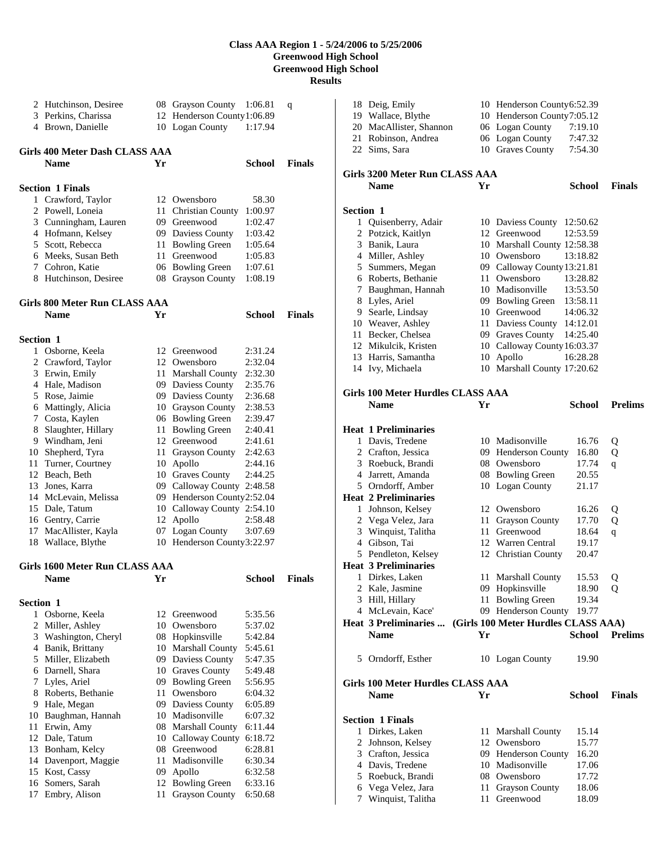|                  | 2 Hutchinson, Desiree          |      | 08 Grayson County           | 1:06.81       | q             |
|------------------|--------------------------------|------|-----------------------------|---------------|---------------|
|                  | 3 Perkins, Charissa            |      | 12 Henderson County 1:06.89 |               |               |
|                  | 4 Brown, Danielle              |      | 10 Logan County             | 1:17.94       |               |
|                  |                                |      |                             |               |               |
|                  | Girls 400 Meter Dash CLASS AAA |      |                             |               |               |
|                  | <b>Name</b>                    | Yr   |                             |               | <b>Finals</b> |
|                  |                                |      |                             | School        |               |
|                  |                                |      |                             |               |               |
|                  | <b>Section 1 Finals</b>        |      |                             |               |               |
|                  | 1 Crawford, Taylor             |      | 12 Owensboro                | 58.30         |               |
| 2                | Powell, Loneia                 | 11 - | Christian County            | 1:00.97       |               |
|                  | 3 Cunningham, Lauren           |      | 09 Greenwood                | 1:02.47       |               |
|                  | 4 Hofmann, Kelsey              |      | 09 Daviess County           | 1:03.42       |               |
|                  | 5 Scott, Rebecca               |      | 11 Bowling Green            | 1:05.64       |               |
|                  | 6 Meeks, Susan Beth            |      | 11 Greenwood                | 1:05.83       |               |
|                  | 7 Cohron, Katie                |      | 06 Bowling Green            | 1:07.61       |               |
|                  | 8 Hutchinson, Desiree          | 08   | Grayson County              | 1:08.19       |               |
|                  |                                |      |                             |               |               |
|                  | Girls 800 Meter Run CLASS AAA  |      |                             |               |               |
|                  | <b>Name</b>                    | Yr   |                             | <b>School</b> | <b>Finals</b> |
|                  |                                |      |                             |               |               |
| <b>Section 1</b> |                                |      |                             |               |               |
|                  | 1 Osborne, Keela               |      | 12 Greenwood                | 2:31.24       |               |
|                  | 2 Crawford, Taylor             |      | 12 Owensboro                | 2:32.04       |               |
|                  | 3 Erwin, Emily                 |      | 11 Marshall County          | 2:32.30       |               |
|                  | 4 Hale, Madison                |      | 09 Daviess County           | 2:35.76       |               |
|                  | 5 Rose, Jaimie                 |      | 09 Daviess County           | 2:36.68       |               |
|                  | 6 Mattingly, Alicia            |      | 10 Grayson County           | 2:38.53       |               |
|                  | 7 Costa, Kaylen                |      | 06 Bowling Green            | 2:39.47       |               |
| 8                | Slaughter, Hillary             |      | 11 Bowling Green            | 2:40.41       |               |
|                  | 9 Windham, Jeni                |      | 12 Greenwood                | 2:41.61       |               |
| 10               | Shepherd, Tyra                 | 11   | <b>Grayson County</b>       | 2:42.63       |               |
| 11               | Turner, Courtney               |      | 10 Apollo                   | 2:44.16       |               |
|                  | 12 Beach, Beth                 |      | 10 Graves County            | 2:44.25       |               |
| 13               | Jones, Karra                   |      | 09 Calloway County 2:48.58  |               |               |
|                  | 14 McLevain, Melissa           |      | 09 Henderson County2:52.04  |               |               |
|                  | 15 Dale, Tatum                 |      | 10 Calloway County 2:54.10  |               |               |
|                  | 16 Gentry, Carrie              |      | 12 Apollo                   | 2:58.48       |               |
| 17               | MacAllister, Kayla             |      | 07 Logan County             | 3:07.69       |               |
| 18               | Wallace, Blythe                |      | 10 Henderson County3:22.97  |               |               |
|                  |                                |      |                             |               |               |
|                  | Girls 1600 Meter Run CLASS AAA |      |                             |               |               |
|                  | <b>Name</b>                    | Yr   |                             | <b>School</b> | <b>Finals</b> |
|                  |                                |      |                             |               |               |
| <b>Section 1</b> |                                |      |                             |               |               |
| 1                | Osborne, Keela                 | 12   | Greenwood                   | 5:35.56       |               |
| 2                | Miller, Ashley                 |      | 10 Owensboro                | 5:37.02       |               |
| 3                | Washington, Cheryl             |      | 08 Hopkinsville             | 5:42.84       |               |
|                  | 4 Banik, Brittany              |      | 10 Marshall County          | 5:45.61       |               |
|                  | 5 Miller, Elizabeth            |      | 09 Daviess County           | 5:47.35       |               |
| 6                | Darnell, Shara                 |      | 10 Graves County            | 5:49.48       |               |
| 7                | Lyles, Ariel                   |      | 09 Bowling Green            | 5:56.95       |               |
| 8                | Roberts, Bethanie              | 11   | Owensboro                   | 6:04.32       |               |
| 9.               | Hale, Megan                    |      | 09 Daviess County           | 6:05.89       |               |
| 10               | Baughman, Hannah               |      | 10 Madisonville             | 6:07.32       |               |
| 11               | Erwin, Amy                     |      | 08 Marshall County          | 6:11.44       |               |
| 12               | Dale, Tatum                    |      | 10 Calloway County          | 6:18.72       |               |
| 13               | Bonham, Kelcy                  |      | 08 Greenwood                | 6:28.81       |               |
| 14               | Davenport, Maggie              | 11   | Madisonville                | 6:30.34       |               |
| 15               | Kost, Cassy                    | 09   | Apollo                      | 6:32.58       |               |
| 16               | Somers, Sarah                  | 12   | <b>Bowling Green</b>        | 6:33.16       |               |
| 17               | Embry, Alison                  | 11   | <b>Grayson County</b>       | 6:50.68       |               |

|           | 18 Deig, Emily                           |          | 10 Henderson County6:52.39          |                |                |
|-----------|------------------------------------------|----------|-------------------------------------|----------------|----------------|
|           | 19 Wallace, Blythe                       |          | 10 Henderson County7:05.12          |                |                |
|           | 20 MacAllister, Shannon                  |          | 06 Logan County                     | 7:19.10        |                |
|           | 21 Robinson, Andrea                      |          | 06 Logan County                     | 7:47.32        |                |
|           | 22 Sims, Sara                            |          | 10 Graves County                    | 7:54.30        |                |
|           |                                          |          |                                     |                |                |
|           | Girls 3200 Meter Run CLASS AAA           |          |                                     |                |                |
|           | <b>Name</b>                              | Yr       |                                     | School         | <b>Finals</b>  |
| Section 1 |                                          |          |                                     |                |                |
|           | 1 Quisenberry, Adair                     |          | 10 Daviess County                   | 12:50.62       |                |
|           | 2 Potzick, Kaitlyn                       |          | 12 Greenwood                        | 12:53.59       |                |
|           | 3 Banik, Laura                           |          | 10 Marshall County 12:58.38         |                |                |
|           | 4 Miller, Ashley                         |          | 10 Owensboro                        | 13:18.82       |                |
|           | 5 Summers, Megan                         |          | 09 Calloway County 13:21.81         |                |                |
|           | 6 Roberts, Bethanie                      |          | 11 Owensboro                        | 13:28.82       |                |
|           | 7 Baughman, Hannah                       |          | 10 Madisonville                     | 13:53.50       |                |
|           |                                          |          |                                     | 13:58.11       |                |
|           | 8 Lyles, Ariel<br>9 Searle, Lindsay      |          | 09 Bowling Green<br>10 Greenwood    | 14:06.32       |                |
|           |                                          |          | 11 Daviess County 14:12.01          |                |                |
|           | 10 Weaver, Ashley                        |          |                                     |                |                |
|           | 11 Becker, Chelsea                       |          | 09 Graves County                    | 14:25.40       |                |
|           | 12 Mikulcik, Kristen                     |          | 10 Calloway County 16:03.37         |                |                |
|           | 13 Harris, Samantha                      |          | 10 Apollo                           | 16:28.28       |                |
|           | 14 Ivy, Michaela                         |          | 10 Marshall County 17:20.62         |                |                |
|           | Girls 100 Meter Hurdles CLASS AAA        |          |                                     |                |                |
|           | <b>Name</b>                              | Yr       |                                     | School         | <b>Prelims</b> |
|           |                                          |          |                                     |                |                |
|           | <b>Heat 1 Preliminaries</b>              |          |                                     |                |                |
|           | 1 Davis, Tredene                         |          | 10 Madisonville                     | 16.76          | Q              |
|           | 2 Crafton, Jessica                       |          | 09 Henderson County                 | 16.80          | Q              |
|           |                                          |          |                                     |                |                |
|           |                                          |          |                                     |                |                |
|           | 3 Roebuck, Brandi                        |          | 08 Owensboro                        | 17.74          | q              |
|           | 4 Jarrett, Amanda                        |          | 08 Bowling Green                    | 20.55          |                |
|           | 5 Orndorff, Amber                        |          | 10 Logan County                     | 21.17          |                |
|           | <b>Heat 2 Preliminaries</b>              |          |                                     |                |                |
|           | 1 Johnson, Kelsey                        |          | 12 Owensboro                        | 16.26          | Q              |
|           | 2 Vega Velez, Jara                       | 11       | <b>Grayson County</b>               | 17.70          | Q              |
|           | 3 Winquist, Talitha                      | 11       | Greenwood                           | 18.64          | q              |
|           | 4 Gibson, Tai                            |          | 12 Warren Central                   | 19.17          |                |
|           | 5 Pendleton, Kelsey                      |          | 12 Christian County                 | 20.47          |                |
|           | <b>Heat 3 Preliminaries</b>              |          |                                     |                |                |
|           | 1 Dirkes, Laken                          |          | 11 Marshall County                  | 15.53          | Q              |
|           | 2 Kale, Jasmine                          |          | 09 Hopkinsville                     | 18.90          | Q              |
|           | 3 Hill, Hillary                          | 11       | <b>Bowling Green</b>                | 19.34          |                |
|           | 4 McLevain, Kace'                        |          | 09 Henderson County                 | 19.77          |                |
|           | <b>Heat 3 Preliminaries </b>             |          | (Girls 100 Meter Hurdles CLASS AAA) |                |                |
|           | <b>Name</b>                              | Yr       |                                     | <b>School</b>  | <b>Prelims</b> |
|           | 5 Orndorff, Esther                       |          |                                     | 19.90          |                |
|           |                                          |          | 10 Logan County                     |                |                |
|           | <b>Girls 100 Meter Hurdles CLASS AAA</b> |          |                                     |                |                |
|           | <b>Name</b>                              | Yr       |                                     | <b>School</b>  | <b>Finals</b>  |
|           |                                          |          |                                     |                |                |
|           | <b>Section 1 Finals</b>                  |          |                                     |                |                |
|           | 1 Dirkes, Laken                          | 11       | Marshall County                     | 15.14          |                |
|           | 2 Johnson, Kelsey                        |          | 12 Owensboro                        | 15.77          |                |
|           | 3 Crafton, Jessica                       |          | 09 Henderson County                 | 16.20          |                |
|           | 4 Davis, Tredene                         |          | 10 Madisonville                     | 17.06          |                |
|           | 5 Roebuck, Brandi                        |          | 08 Owensboro                        | 17.72          |                |
| 7         | 6 Vega Velez, Jara<br>Winquist, Talitha  | 11<br>11 | <b>Grayson County</b><br>Greenwood  | 18.06<br>18.09 |                |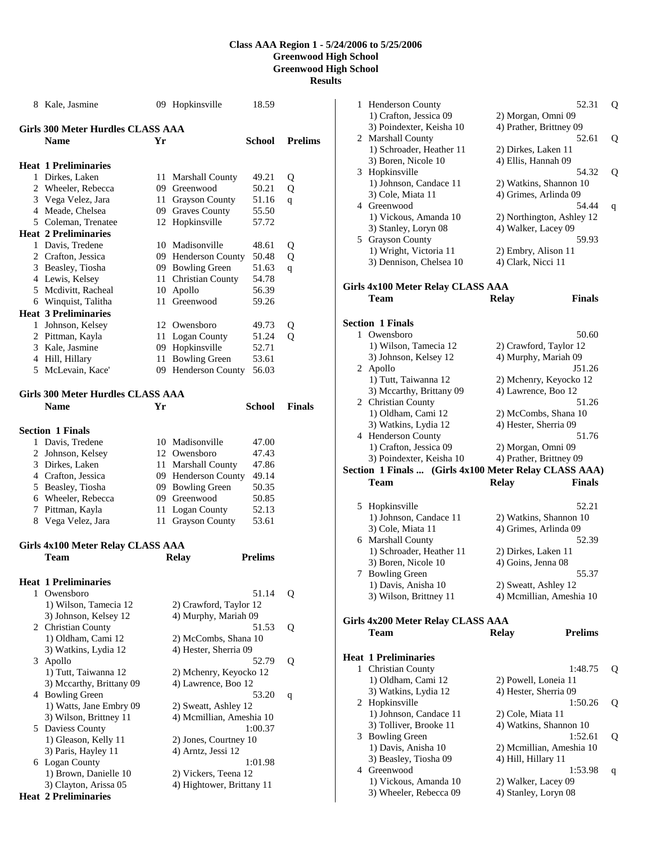|   | 8 Kale, Jasmine                          |      | 09 Hopkinsville           | 18.59          |                |
|---|------------------------------------------|------|---------------------------|----------------|----------------|
|   | Girls 300 Meter Hurdles CLASS AAA        |      |                           |                |                |
|   | <b>Name</b>                              | Yr   |                           | School         | <b>Prelims</b> |
|   | <b>Heat 1 Preliminaries</b>              |      |                           |                |                |
|   | 1 Dirkes, Laken                          | 11-  | <b>Marshall County</b>    | 49.21          | Q              |
|   | 2 Wheeler, Rebecca                       |      | 09 Greenwood              | 50.21          | Q              |
|   | 3 Vega Velez, Jara                       |      | 11 Grayson County         | 51.16          | q              |
|   | 4 Meade, Chelsea                         |      | 09 Graves County          | 55.50          |                |
|   | 5 Coleman, Trenatee                      | 12   | Hopkinsville              | 57.72          |                |
|   | <b>Heat 2 Preliminaries</b>              |      |                           |                |                |
|   | 1 Davis, Tredene                         |      | 10 Madisonville           | 48.61          | Q              |
|   | 2 Crafton, Jessica                       |      | 09 Henderson County       | 50.48          | Q              |
|   | 3 Beasley, Tiosha                        |      | 09 Bowling Green          | 51.63          | q              |
|   | 4 Lewis, Kelsey                          | 11-  | <b>Christian County</b>   | 54.78          |                |
|   | 5 Mcdivitt, Racheal                      | 10   | Apollo                    | 56.39          |                |
|   | 6 Winquist, Talitha                      | 11-  | Greenwood                 | 59.26          |                |
|   | <b>Heat 3 Preliminaries</b>              |      |                           |                |                |
|   | 1 Johnson, Kelsey                        |      | 12 Owensboro              | 49.73          |                |
|   | 2 Pittman, Kayla                         | 11 - | Logan County              | 51.24          | Q<br>0         |
|   | 3 Kale, Jasmine                          |      | 09 Hopkinsville           | 52.71          |                |
|   | 4 Hill, Hillary                          | 11   | <b>Bowling Green</b>      | 53.61          |                |
|   | 5 McLevain, Kace'                        |      | 09 Henderson County       | 56.03          |                |
|   |                                          |      |                           |                |                |
|   | <b>Girls 300 Meter Hurdles CLASS AAA</b> |      |                           |                |                |
|   | <b>Name</b>                              | Yr   |                           | School         | <b>Finals</b>  |
|   |                                          |      |                           |                |                |
|   | <b>Section 1 Finals</b>                  |      |                           |                |                |
|   |                                          |      |                           |                |                |
|   | 1 Davis, Tredene                         |      | 10 Madisonville           | 47.00          |                |
|   | 2 Johnson, Kelsey                        |      | 12 Owensboro              | 47.43<br>47.86 |                |
|   | 3 Dirkes, Laken                          | 11-  | <b>Marshall County</b>    |                |                |
|   | 4 Crafton, Jessica                       |      | 09 Henderson County       | 49.14          |                |
|   | 5 Beasley, Tiosha                        |      | 09 Bowling Green          | 50.35          |                |
|   | 6 Wheeler, Rebecca                       |      | 09 Greenwood              | 50.85          |                |
|   | 7 Pittman, Kayla                         | 11   | Logan County              | 52.13          |                |
|   | 8 Vega Velez, Jara                       | 11   | <b>Grayson County</b>     | 53.61          |                |
|   | <b>Girls 4x100 Meter Relay CLASS AAA</b> |      |                           |                |                |
|   | Team                                     |      | <b>Relay</b>              | <b>Prelims</b> |                |
|   |                                          |      |                           |                |                |
|   | <b>Heat 1 Preliminaries</b>              |      |                           |                |                |
|   | 1 Owensboro                              |      |                           | 51.14          | Q              |
|   | 1) Wilson, Tamecia 12                    |      | 2) Crawford, Taylor 12    |                |                |
|   | 3) Johnson, Kelsey 12                    |      | 4) Murphy, Mariah 09      |                |                |
|   | 2 Christian County                       |      |                           | 51.53          |                |
|   | 1) Oldham, Cami 12                       |      | 2) McCombs, Shana 10      |                | Q              |
|   | 3) Watkins, Lydia 12                     |      | 4) Hester, Sherria 09     |                |                |
| 3 | Apollo                                   |      |                           | 52.79          | Q              |
|   | 1) Tutt, Taiwanna 12                     |      | 2) Mchenry, Keyocko 12    |                |                |
|   | 3) Mccarthy, Brittany 09                 |      | 4) Lawrence, Boo 12       |                |                |
|   | 4 Bowling Green                          |      |                           | 53.20          |                |
|   | 1) Watts, Jane Embry 09                  |      | 2) Sweatt, Ashley 12      |                | q              |
|   | 3) Wilson, Brittney 11                   |      | 4) Mcmillian, Ameshia 10  |                |                |
|   | 5 Daviess County                         |      |                           | 1:00.37        |                |
|   | 1) Gleason, Kelly 11                     |      | 2) Jones, Courtney 10     |                |                |
|   | 3) Paris, Hayley 11                      |      | 4) Arntz, Jessi 12        |                |                |
|   | 6 Logan County                           |      |                           | 1:01.98        |                |
|   | 1) Brown, Danielle 10                    |      | 2) Vickers, Teena 12      |                |                |
|   | 3) Clayton, Arissa 05                    |      | 4) Hightower, Brittany 11 |                |                |

**Heat 2 Preliminaries** 

| 1 | <b>Henderson County</b>                               |                                               | 52.31                     | Q |
|---|-------------------------------------------------------|-----------------------------------------------|---------------------------|---|
|   | 1) Crafton, Jessica 09                                | 2) Morgan, Omni 09                            |                           |   |
|   | 3) Poindexter, Keisha 10                              | 4) Prather, Brittney 09                       |                           |   |
|   | 2 Marshall County                                     |                                               | 52.61                     | Q |
|   | 1) Schroader, Heather 11                              | 2) Dirkes, Laken 11                           |                           |   |
|   | 3) Boren, Nicole 10                                   | 4) Ellis, Hannah 09                           |                           |   |
| 3 | Hopkinsville                                          |                                               | 54.32                     | Q |
|   | 1) Johnson, Candace 11                                | 2) Watkins, Shannon 10                        |                           |   |
|   | 3) Cole, Miata 11<br>4 Greenwood                      | 4) Grimes, Arlinda 09                         | 54.44                     |   |
|   | 1) Vickous, Amanda 10                                 |                                               | 2) Northington, Ashley 12 | q |
|   | 3) Stanley, Loryn 08                                  | 4) Walker, Lacey 09                           |                           |   |
|   | 5 Grayson County                                      |                                               | 59.93                     |   |
|   | 1) Wright, Victoria 11                                | 2) Embry, Alison 11                           |                           |   |
|   | 3) Dennison, Chelsea 10                               | 4) Clark, Nicci 11                            |                           |   |
|   |                                                       |                                               |                           |   |
|   | Girls 4x100 Meter Relay CLASS AAA<br>Team             | <b>Relay</b>                                  | <b>Finals</b>             |   |
|   |                                                       |                                               |                           |   |
|   | Section 1 Finals                                      |                                               |                           |   |
| 1 | Owensboro                                             |                                               | 50.60                     |   |
|   | 1) Wilson, Tamecia 12                                 | 2) Crawford, Taylor 12                        |                           |   |
|   | 3) Johnson, Kelsey 12<br>2 Apollo                     | 4) Murphy, Mariah 09                          | J51.26                    |   |
|   | 1) Tutt, Taiwanna 12                                  | 2) Mchenry, Keyocko 12                        |                           |   |
|   | 3) Mccarthy, Brittany 09                              | 4) Lawrence, Boo 12                           |                           |   |
|   | 2 Christian County                                    |                                               | 51.26                     |   |
|   | 1) Oldham, Cami 12                                    | 2) McCombs, Shana 10                          |                           |   |
|   | 3) Watkins, Lydia 12                                  | 4) Hester, Sherria 09                         |                           |   |
|   | 4 Henderson County                                    |                                               | 51.76                     |   |
|   | 1) Crafton, Jessica 09<br>3) Poindexter, Keisha 10    | 2) Morgan, Omni 09<br>4) Prather, Brittney 09 |                           |   |
|   | Section 1 Finals  (Girls 4x100 Meter Relay CLASS AAA) |                                               |                           |   |
|   | Team                                                  | <b>Relay</b>                                  | <b>Finals</b>             |   |
|   |                                                       |                                               |                           |   |
|   | 5 Hopkinsville                                        |                                               | 52.21                     |   |
|   | 1) Johnson, Candace 11                                | 2) Watkins, Shannon 10                        |                           |   |
|   | 3) Cole, Miata 11                                     | 4) Grimes, Arlinda 09                         |                           |   |
| 6 | <b>Marshall County</b><br>1) Schroader, Heather 11    | 2) Dirkes, Laken 11                           | 52.39                     |   |
|   | 3) Boren, Nicole 10                                   | 4) Goins, Jenna 08                            |                           |   |
|   | 7 Bowling Green                                       |                                               | 55.37                     |   |
|   | 1) Davis, Anisha 10                                   | 2) Sweatt, Ashley 12                          |                           |   |
|   | 3) Wilson, Brittney 11                                |                                               | 4) Mcmillian, Ameshia 10  |   |
|   | Girls 4x200 Meter Relay CLASS AAA                     |                                               |                           |   |
|   | Team                                                  | <b>Relay</b>                                  | <b>Prelims</b>            |   |
|   |                                                       |                                               |                           |   |
|   | <b>Heat 1 Preliminaries</b>                           |                                               |                           |   |
| 1 | Christian County                                      |                                               | 1:48.75                   | Q |
|   | 1) Oldham, Cami 12                                    | 2) Powell, Loneia 11                          |                           |   |
|   | 3) Watkins, Lydia 12                                  | 4) Hester, Sherria 09                         |                           |   |
|   | 2 Hopkinsville<br>1) Johnson, Candace 11              | 2) Cole, Miata 11                             | 1:50.26                   | Q |
|   | 3) Tolliver, Brooke 11                                | 4) Watkins, Shannon 10                        |                           |   |
|   | 3 Bowling Green                                       |                                               | 1:52.61                   | Q |
|   | 1) Davis, Anisha 10                                   |                                               | 2) Mcmillian, Ameshia 10  |   |
|   | 3) Beasley, Tiosha 09                                 | 4) Hill, Hillary 11                           |                           |   |
|   | 4 Greenwood                                           |                                               | 1:53.98                   | q |
|   | 1) Vickous, Amanda 10                                 | 2) Walker, Lacey 09                           |                           |   |
|   | 3) Wheeler, Rebecca 09                                | 4) Stanley, Loryn 08                          |                           |   |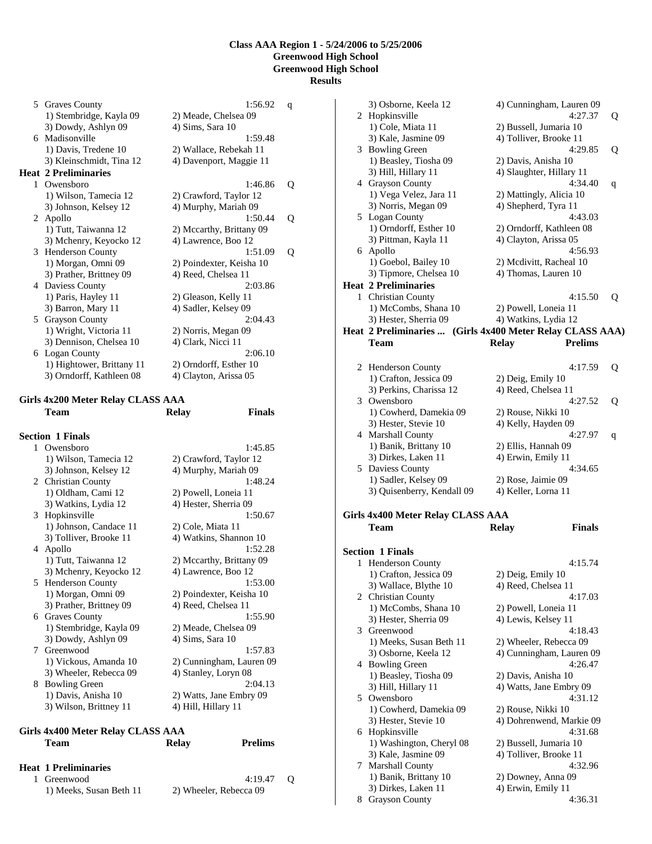5 Graves County 1:56.92 q 1) Stembridge, Kayla 09 2) Meade, Chelsea 09 3) Dowdy, Ashlyn 09 4) Sims, Sara 10 6 Madisonville 1:59.48 1) Davis, Tredene 10 2) Wallace, Rebekah 11 3) Kleinschmidt, Tina 12 4) Davenport, Maggie 11 **Heat 2 Preliminaries**  1 Owensboro 1:46.86 Q 1) Wilson, Tamecia 12 2) Crawford, Taylor 12 3) Johnson, Kelsey 12 4) Murphy, Mariah 09 2 Apollo 1:50.44 Q<br>1) Tutt, Taiwanna 12 2) Mccarthy, Brittany 09 2) Mccarthy, Brittany 09<br>4) Lawrence, Boo 12 3) Mchenry, Keyocko 12 4) Lawrence, Boo 12<br>Henderson County 1:51.09 3 Henderson County<br>
1:51.09 Q<br>
1) Morgan, Omni 09 2) Poindexter, Keisha 10 2) Poindexter, Keisha 10 3) Prather, Brittney 09 4) Reed, Chelsea 11 4 Daviess County<br>
1) Paris, Hayley 11<br>
2) Gleason, Kelly 11<br>
2) Gleason, Kelly 11 1) Paris, Hayley 11 2) Gleason, Kelly 11<br>
3) Barron, Mary 11 4) Sadler, Kelsey 09 4) Sadler, Kelsey 09 5 Grayson County 2:04.43 1) Wright, Victoria 11 2) Norris, Megan 09 3) Dennison, Chelsea 10 4) Clark, Nicci 11<br>Logan County 2:06.10 6 Logan County<br>
1) Hightower, Brittany 11 2) Orndorff, Esther 10 1) Hightower, Brittany 11 2) Orndorff, Esther 10<br>3) Orndorff, Kathleen 08 4) Clayton, Arissa 05 3) Orndorff, Kathleen 08

#### **Girls 4x200 Meter Relay CLASS AAA Team Relay Finals**

|    | <b>Section 1 Finals</b> |                          |
|----|-------------------------|--------------------------|
|    | 1 Owensboro             | 1:45.85                  |
|    | 1) Wilson, Tamecia 12   | 2) Crawford, Taylor 12   |
|    | 3) Johnson, Kelsey 12   | 4) Murphy, Mariah 09     |
|    | 2 Christian County      | 1:48.24                  |
|    | 1) Oldham, Cami 12      | 2) Powell, Loneia 11     |
|    | 3) Watkins, Lydia 12    | 4) Hester, Sherria 09    |
|    | 3 Hopkinsville          | 1:50.67                  |
|    | 1) Johnson, Candace 11  | 2) Cole, Miata 11        |
|    | 3) Tolliver, Brooke 11  | 4) Watkins, Shannon 10   |
|    | 4 Apollo                | 1:52.28                  |
|    | 1) Tutt, Taiwanna 12    | 2) Mccarthy, Brittany 09 |
|    | 3) Mchenry, Keyocko 12  | 4) Lawrence, Boo 12      |
|    | 5 Henderson County      | 1:53.00                  |
|    | 1) Morgan, Omni 09      | 2) Poindexter, Keisha 10 |
|    | 3) Prather, Brittney 09 | 4) Reed, Chelsea 11      |
|    | 6 Graves County         | 1:55.90                  |
|    | 1) Stembridge, Kayla 09 | 2) Meade, Chelsea 09     |
|    | 3) Dowdy, Ashlyn 09     | 4) Sims, Sara 10         |
|    | 7 Greenwood             | 1:57.83                  |
|    | 1) Vickous, Amanda 10   | 2) Cunningham, Lauren 09 |
|    | 3) Wheeler, Rebecca 09  | 4) Stanley, Loryn 08     |
| 8. | <b>Bowling Green</b>    | 2:04.13                  |
|    | 1) Davis, Anisha 10     | 2) Watts, Jane Embry 09  |
|    | 3) Wilson, Brittney 11  | 4) Hill, Hillary 11      |
|    |                         |                          |

#### **Girls 4x400 Meter Relay CLASS AAA Team Relay Prelims**

| <b>Heat 1 Preliminaries</b> |                        |  |
|-----------------------------|------------------------|--|
| 1 Greenwood                 | $4:19.47$ O            |  |
| 1) Meeks, Susan Beth 11     | 2) Wheeler, Rebecca 09 |  |

|              | 3) Osborne, Keela 12              | 4) Cunningham, Lauren 09                                  |   |
|--------------|-----------------------------------|-----------------------------------------------------------|---|
|              | 2 Hopkinsville                    | 4:27.37                                                   | Q |
|              | 1) Cole, Miata 11                 | 2) Bussell, Jumaria 10                                    |   |
|              | 3) Kale, Jasmine 09               | 4) Tolliver, Brooke 11                                    |   |
|              | 3 Bowling Green                   | 4:29.85                                                   | Q |
|              | 1) Beasley, Tiosha 09             | 2) Davis, Anisha 10                                       |   |
|              | 3) Hill, Hillary 11               | 4) Slaughter, Hillary 11                                  |   |
|              | 4 Grayson County                  | 4:34.40                                                   | q |
|              | 1) Vega Velez, Jara 11            | 2) Mattingly, Alicia 10                                   |   |
|              | 3) Norris, Megan 09               | 4) Shepherd, Tyra 11                                      |   |
| 5            | Logan County                      | 4:43.03                                                   |   |
|              | 1) Orndorff, Esther 10            | 2) Orndorff, Kathleen 08                                  |   |
|              | 3) Pittman, Kayla 11              | 4) Clayton, Arissa 05                                     |   |
|              | 6 Apollo                          | 4:56.93                                                   |   |
|              | 1) Goebol, Bailey 10              | 2) Mcdivitt, Racheal 10                                   |   |
|              | 3) Tipmore, Chelsea 10            | 4) Thomas, Lauren 10                                      |   |
|              | <b>Heat 2 Preliminaries</b>       |                                                           |   |
| $\mathbf{1}$ | <b>Christian County</b>           | 4:15.50                                                   | Q |
|              | 1) McCombs, Shana 10              | 2) Powell, Loneia 11                                      |   |
|              | 3) Hester, Sherria 09             | 4) Watkins, Lydia 12                                      |   |
|              |                                   | Heat 2 Preliminaries  (Girls 4x400 Meter Relay CLASS AAA) |   |
|              | Team                              | <b>Prelims</b><br><b>Relay</b>                            |   |
|              |                                   |                                                           |   |
|              | 2 Henderson County                | 4:17.59                                                   | Q |
|              | 1) Crafton, Jessica 09            | 2) Deig, Emily 10                                         |   |
|              | 3) Perkins, Charissa 12           | 4) Reed, Chelsea 11                                       |   |
|              | 3 Owensboro                       | 4:27.52                                                   | Q |
|              | 1) Cowherd, Damekia 09            | 2) Rouse, Nikki 10                                        |   |
|              | 3) Hester, Stevie 10              | 4) Kelly, Hayden 09                                       |   |
|              | 4 Marshall County                 | 4:27.97                                                   | q |
|              | 1) Banik, Brittany 10             | 2) Ellis, Hannah 09                                       |   |
|              | 3) Dirkes, Laken 11               | 4) Erwin, Emily 11                                        |   |
|              | 5 Daviess County                  | 4:34.65                                                   |   |
|              | 1) Sadler, Kelsey 09              | 2) Rose, Jaimie 09                                        |   |
|              | 3) Quisenberry, Kendall 09        | 4) Keller, Lorna 11                                       |   |
|              | Girls 4x400 Meter Relay CLASS AAA |                                                           |   |
|              | Team                              | <b>Finals</b><br><b>Relay</b>                             |   |
|              |                                   |                                                           |   |
|              | <b>Section 1 Finals</b>           |                                                           |   |
| 1            | <b>Henderson County</b>           | 4:15.74                                                   |   |
|              | 1) Crafton, Jessica 09            | 2) Deig, Emily 10                                         |   |
|              | 3) Wallace, Blythe 10             | 4) Reed, Chelsea 11                                       |   |
|              | 2 Christian County                | 4:17.03                                                   |   |
|              | 1) McCombs, Shana 10              | 2) Powell, Loneia 11                                      |   |
|              | 3) Hester, Sherria 09             | 4) Lewis, Kelsey 11                                       |   |
| 3            | Greenwood                         | 4:18.43                                                   |   |
|              | 1) Meeks, Susan Beth 11           | 2) Wheeler, Rebecca 09                                    |   |
|              | 3) Osborne, Keela 12              | 4) Cunningham, Lauren 09                                  |   |
| 4            | <b>Bowling Green</b>              | 4:26.47                                                   |   |
|              | 1) Beasley, Tiosha 09             | 2) Davis, Anisha 10                                       |   |
|              | 3) Hill, Hillary 11               | 4) Watts, Jane Embry 09                                   |   |
| 5            | Owensboro                         | 4:31.12                                                   |   |
|              | 1) Cowherd, Damekia 09            | 2) Rouse, Nikki 10                                        |   |
|              | 3) Hester, Stevie 10              | 4) Dohrenwend, Markie 09                                  |   |
|              | 6 Hopkinsville                    | 4:31.68                                                   |   |
|              | 1) Washington, Cheryl 08          | 2) Bussell, Jumaria 10                                    |   |
|              | 3) Kale, Jasmine 09               | 4) Tolliver, Brooke 11                                    |   |
| 7            | Marshall County                   | 4:32.96                                                   |   |
|              | 1) Banik, Brittany 10             | 2) Downey, Anna 09                                        |   |
|              | 3) Dirkes, Laken 11               | 4) Erwin, Emily 11                                        |   |
|              | <b>Grayson County</b>             | 4:36.31                                                   |   |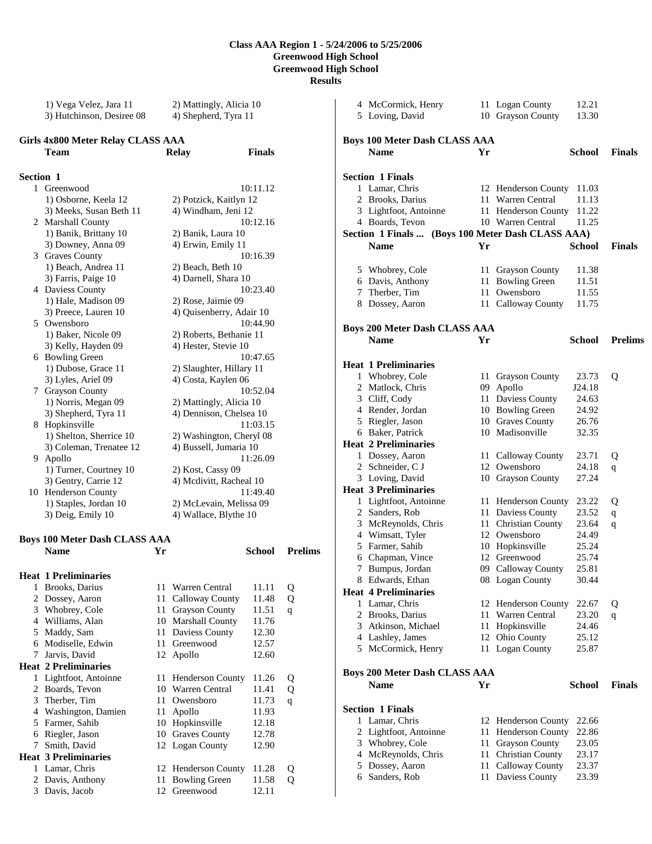1) Vega Velez, Jara 11 2) Mattingly, Alicia 10 3) Hutchinson, Desiree 08 4) Shepherd, Tyra 11

**Finals** 

| <b>Girls 4x800 Meter Relay CLASS AAA</b> |  |              |
|------------------------------------------|--|--------------|
| Team                                     |  | <b>Relay</b> |

# **Section 1**

1 Greenwood 10:11.12 1) Osborne, Keela 12 2) Potzick, Kaitlyn 12 3) Meeks, Susan Beth 11 4) Windham, Jeni 12 2 Marshall County 10:12.16 1) Banik, Brittany 10 2) Banik, Laura 10 3) Downey, Anna 09 4) Erwin, Emily 11 3 Graves County 10:16.39 1) Beach, Andrea 11 2) Beach, Beth 10 3) Farris, Paige 10 4) Darnell, Shara 10<br>Daviess County 10:23.40 4 Daviess County 1) Hale, Madison 09 2) Rose, Jaimie 09 3) Preece, Lauren 10 4) Quisenberry, Adair 10 5 Owensboro 10:44.90 1) Baker, Nicole 09 2) Roberts, Bethanie 11 3) Kelly, Hayden 09 4) Hester, Stevie 10 6 Bowling Green 10:47.65 1) Dubose, Grace 11 2) Slaughter, Hillary 11 3) Lyles, Ariel 09 4) Costa, Kaylen 06 7 Grayson County 10:52.04 1) Norris, Megan 09 2) Mattingly, Alicia 10 3) Shepherd, Tyra 11 4) Dennison, Chelsea 10 8 Hopkinsville 11:03.15 1) Shelton, Sherrice 10 2) Washington, Cheryl 08 3) Coleman, Trenatee 12 4) Bussell, Jumaria 10 9 Apollo 11:26.09 1) Turner, Courtney 10 2) Kost, Cassy 09 3) Gentry, Carrie 12 4) Mcdivitt, Racheal 10 10 Henderson County 11:49.40 1) Staples, Jordan 10 2) McLevain, Melissa 09 3) Deig, Emily 10 4) Wallace, Blythe 10 **Boys 100 Meter Dash CLASS AAA Name Yr School Prelims Heat 1 Preliminaries** 

| ncai | я я генициател              |     |                        |       |   |
|------|-----------------------------|-----|------------------------|-------|---|
| 1    | Brooks, Darius              | 11  | Warren Central         | 11.11 | Q |
| 2    | Dossey, Aaron               | 11  | Calloway County        | 11.48 | Q |
| 3    | Whobrey, Cole               | 11  | <b>Grayson County</b>  | 11.51 | q |
| 4    | Williams, Alan              | 10  | <b>Marshall County</b> | 11.76 |   |
| 5    | Maddy, Sam                  | 11  | Daviess County         | 12.30 |   |
| 6    | Modiselle, Edwin            | 11. | Greenwood              | 12.57 |   |
| 7    | Jarvis, David               |     | 12 Apollo              | 12.60 |   |
|      | <b>Heat 2 Preliminaries</b> |     |                        |       |   |
| 1    | Lightfoot, Antoinne         |     | 11 Henderson County    | 11.26 | Q |
| 2    | Boards, Tevon               | 10  | Warren Central         | 11.41 | Q |
| 3    | Therber, Tim                | 11  | Owensboro              | 11.73 | q |
| 4    | Washington, Damien          | 11  | Apollo                 | 11.93 |   |
| 5    | Farmer, Sahib               | 10  | Hopkinsville           | 12.18 |   |
| 6    | Riegler, Jason              | 10  | <b>Graves County</b>   | 12.78 |   |
| 7    | Smith, David                |     | 12 Logan County        | 12.90 |   |
|      | <b>Heat 3 Preliminaries</b> |     |                        |       |   |
| 1    | Lamar, Chris                |     | 12 Henderson County    | 11.28 | Q |
| 2    | Davis, Anthony              | 11  | <b>Bowling Green</b>   | 11.58 | Q |
| 3    | Davis, Jacob                | 12  | Greenwood              | 12.11 |   |
|      |                             |     |                        |       |   |

|   | 4 McCormick, Henry                   |      | 11 Logan County                 | 12.21         |                |
|---|--------------------------------------|------|---------------------------------|---------------|----------------|
|   | 5 Loving, David                      |      | 10 Grayson County               | 13.30         |                |
|   |                                      |      |                                 |               |                |
|   | <b>Boys 100 Meter Dash CLASS AAA</b> |      |                                 |               |                |
|   | <b>Name</b>                          | Yr   |                                 | <b>School</b> |                |
|   |                                      |      |                                 |               | <b>Finals</b>  |
|   |                                      |      |                                 |               |                |
|   | <b>Section 1 Finals</b>              |      |                                 |               |                |
|   | 1 Lamar, Chris                       |      | 12 Henderson County             | 11.03         |                |
|   | 2 Brooks, Darius                     |      | 11 Warren Central               | 11.13         |                |
|   | 3 Lightfoot, Antoinne                |      | 11 Henderson County             | 11.22         |                |
|   | 4 Boards, Tevon                      |      | 10 Warren Central               | 11.25         |                |
|   | <b>Section 1 Finals </b>             |      | (Boys 100 Meter Dash CLASS AAA) |               |                |
|   | <b>Name</b>                          | Yr   |                                 | School        | <b>Finals</b>  |
|   |                                      |      |                                 |               |                |
|   | 5 Whobrey, Cole                      |      | 11 Grayson County               | 11.38         |                |
|   | 6 Davis, Anthony                     |      | 11 Bowling Green                | 11.51         |                |
|   | 7 Therber, Tim                       | 11   | Owensboro                       | 11.55         |                |
|   |                                      |      |                                 | 11.75         |                |
| 8 | Dossey, Aaron                        |      | 11 Calloway County              |               |                |
|   |                                      |      |                                 |               |                |
|   | <b>Boys 200 Meter Dash CLASS AAA</b> |      |                                 |               |                |
|   | <b>Name</b>                          | Yr   |                                 | School        | <b>Prelims</b> |
|   |                                      |      |                                 |               |                |
|   | <b>Heat 1 Preliminaries</b>          |      |                                 |               |                |
|   | 1 Whobrey, Cole                      | 11 - | <b>Grayson County</b>           | 23.73         | Q              |
|   | 2 Matlock, Chris                     |      | 09 Apollo                       | J24.18        |                |
|   | 3 Cliff, Cody                        |      | 11 Daviess County               | 24.63         |                |
|   | 4 Render, Jordan                     |      | 10 Bowling Green                | 24.92         |                |
|   | 5 Riegler, Jason                     |      | 10 Graves County                | 26.76         |                |
|   | 6 Baker, Patrick                     |      | 10 Madisonville                 | 32.35         |                |
|   |                                      |      |                                 |               |                |
|   | <b>Heat 2 Preliminaries</b>          |      |                                 |               |                |
|   | 1 Dossey, Aaron                      |      | 11 Calloway County              | 23.71         | Q              |
|   | 2 Schneider, C J                     |      | 12 Owensboro                    | 24.18         | q              |
|   | 3 Loving, David                      |      | 10 Grayson County               | 27.24         |                |
|   | <b>Heat 3 Preliminaries</b>          |      |                                 |               |                |
|   | 1 Lightfoot, Antoinne                |      | 11 Henderson County             | 23.22         | Q              |
|   | 2 Sanders, Rob                       |      | 11 Daviess County               | 23.52         | $\mathbf{q}$   |
|   | 3 McReynolds, Chris                  |      | 11 Christian County             | 23.64         | q              |
|   | 4 Wimsatt, Tyler                     |      | 12 Owensboro                    | 24.49         |                |
|   | 5 Farmer, Sahib                      |      | 10 Hopkinsville                 | 25.24         |                |
|   | 6 Chapman, Vince                     |      | 12 Greenwood                    | 25.74         |                |
| 7 | Bumpus, Jordan                       |      | 09 Calloway County              | 25.81         |                |
| 8 | Edwards, Ethan                       |      | 08 Logan County                 | 30.44         |                |
|   | <b>Heat 4 Preliminaries</b>          |      |                                 |               |                |
|   | 1 Lamar, Chris                       |      | 12 Henderson County             | 22.67         | Q              |
| 2 | Brooks, Darius                       | 11 - | Warren Central                  | 23.20         |                |
|   |                                      |      |                                 |               | q              |
| 3 | Atkinson, Michael                    | 11   | Hopkinsville                    | 24.46         |                |
|   | 4 Lashley, James                     | 12   | Ohio County                     | 25.12         |                |
|   | 5 McCormick, Henry                   | 11   | <b>Logan County</b>             | 25.87         |                |
|   |                                      |      |                                 |               |                |
|   | <b>Boys 200 Meter Dash CLASS AAA</b> |      |                                 |               |                |
|   | <b>Name</b>                          | Yr   |                                 | <b>School</b> | <b>Finals</b>  |
|   |                                      |      |                                 |               |                |
|   | <b>Section 1 Finals</b>              |      |                                 |               |                |
| 1 | Lamar, Chris                         |      | 12 Henderson County             | 22.66         |                |
| 2 | Lightfoot, Antoinne                  | 11   | Henderson County                | 22.86         |                |
|   |                                      |      |                                 | 23.05         |                |
|   | 3 Whobrey, Cole                      | 11 - | <b>Grayson County</b>           |               |                |
| 4 | McReynolds, Chris                    | 11   | <b>Christian County</b>         | 23.17         |                |
| 5 | Dossey, Aaron                        | 11   | Calloway County                 | 23.37         |                |
|   | 6 Sanders, Rob                       | 11   | Daviess County                  | 23.39         |                |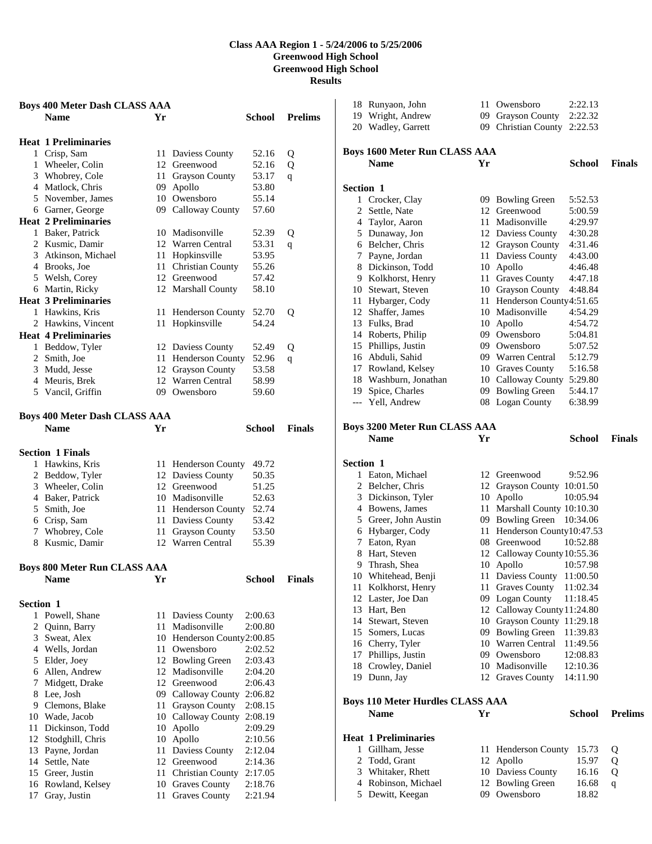|           | <b>Boys 400 Meter Dash CLASS AAA</b> |    |                                |         |                |
|-----------|--------------------------------------|----|--------------------------------|---------|----------------|
|           | <b>Name</b>                          | Yr |                                | School  | <b>Prelims</b> |
|           |                                      |    |                                |         |                |
|           | <b>Heat 1 Preliminaries</b>          |    |                                |         |                |
|           | 1 Crisp, Sam                         |    | 11 Daviess County              | 52.16   | Q              |
|           | 1 Wheeler, Colin                     |    | 12 Greenwood                   | 52.16   | Q              |
|           | 3 Whobrey, Cole                      | 11 | <b>Grayson County</b>          | 53.17   | q              |
|           | 4 Matlock, Chris                     | 09 | Apollo                         | 53.80   |                |
|           | 5 November, James                    |    | 10 Owensboro                   | 55.14   |                |
|           | 6 Garner, George                     |    | 09 Calloway County             | 57.60   |                |
|           | <b>Heat 2 Preliminaries</b>          |    |                                |         |                |
|           | 1 Baker, Patrick                     |    | 10 Madisonville                | 52.39   | Q              |
|           | 2 Kusmic, Damir                      |    | 12 Warren Central              | 53.31   | q              |
|           | 3 Atkinson, Michael                  | 11 | Hopkinsville                   | 53.95   |                |
|           | 4 Brooks, Joe                        | 11 | Christian County               | 55.26   |                |
|           | 5 Welsh, Corey                       |    | 12 Greenwood                   | 57.42   |                |
|           | 6 Martin, Ricky                      |    | 12 Marshall County             | 58.10   |                |
|           | <b>Heat 3 Preliminaries</b>          |    |                                |         |                |
|           | 1 Hawkins, Kris                      | 11 | <b>Henderson County</b>        | 52.70   | Q              |
|           | 2 Hawkins, Vincent                   |    | 11 Hopkinsville                | 54.24   |                |
|           | <b>Heat 4 Preliminaries</b>          |    |                                |         |                |
|           | 1 Beddow, Tyler                      |    | 12 Daviess County              | 52.49   | Q              |
|           | 2 Smith, Joe                         | 11 | Henderson County               | 52.96   | q              |
|           | 3 Mudd, Jesse                        |    | 12 Grayson County              | 53.58   |                |
|           | 4 Meuris, Brek                       |    | 12 Warren Central              | 58.99   |                |
|           | 5 Vancil, Griffin                    |    | 09 Owensboro                   | 59.60   |                |
|           |                                      |    |                                |         |                |
|           | <b>Boys 400 Meter Dash CLASS AAA</b> |    |                                |         |                |
|           | <b>Name</b>                          | Yr |                                | School  | <b>Finals</b>  |
|           |                                      |    |                                |         |                |
|           | <b>Section 1 Finals</b>              |    |                                |         |                |
|           | 1 Hawkins, Kris                      |    | 11 Henderson County            | 49.72   |                |
|           | 2 Beddow, Tyler                      |    | 12 Daviess County              | 50.35   |                |
|           | 3 Wheeler, Colin                     |    | 12 Greenwood                   | 51.25   |                |
|           | 4 Baker, Patrick                     |    | 10 Madisonville                | 52.63   |                |
|           | 5 Smith, Joe                         |    | 11 Henderson County            | 52.74   |                |
|           | 6 Crisp, Sam                         | 11 | Daviess County                 | 53.42   |                |
|           | 7 Whobrey, Cole                      | 11 | <b>Grayson County</b>          | 53.50   |                |
|           | 8 Kusmic, Damir                      |    | 12 Warren Central              | 55.39   |                |
|           |                                      |    |                                |         |                |
|           | <b>Boys 800 Meter Run CLASS AAA</b>  |    |                                |         |                |
|           | <b>Name</b>                          |    |                                | School  | <b>Finals</b>  |
|           |                                      |    |                                |         |                |
| Section 1 |                                      |    |                                |         |                |
|           | 1 Powell, Shane                      | 11 |                                | 2:00.63 |                |
|           | 2 Quinn, Barry                       | 11 | Daviess County<br>Madisonville | 2:00.80 |                |
|           | 3 Sweat, Alex                        |    | 10 Henderson County2:00.85     |         |                |
|           | 4 Wells, Jordan                      |    | 11 Owensboro                   | 2:02.52 |                |
|           | 5 Elder, Joey                        |    | 12 Bowling Green               | 2:03.43 |                |
|           | 6 Allen, Andrew                      | 12 | Madisonville                   | 2:04.20 |                |
| 7         | Midgett, Drake                       |    | 12 Greenwood                   | 2:06.43 |                |
|           | 8 Lee, Josh                          |    | 09 Calloway County             | 2:06.82 |                |
|           | 9 Clemons, Blake                     | 11 | <b>Grayson County</b>          | 2:08.15 |                |
|           | 10 Wade, Jacob                       | 10 | Calloway County                | 2:08.19 |                |
| 11        | Dickinson, Todd                      | 10 | Apollo                         | 2:09.29 |                |
| 12        | Stodghill, Chris                     | 10 | Apollo                         | 2:10.56 |                |
|           | 13 Payne, Jordan                     | 11 | Daviess County                 | 2:12.04 |                |
| 14        | Settle, Nate                         | 12 | Greenwood                      | 2:14.36 |                |
|           | 15 Greer, Justin                     | 11 | Christian County               | 2:17.05 |                |
|           | 16 Rowland, Kelsey                   |    | 10 Graves County               | 2:18.76 |                |
| 17        | Gray, Justin                         | 11 | Graves County                  | 2:21.94 |                |
|           |                                      |    |                                |         |                |

|                  | 18 Runyaon, John                        | 11 - | Owensboro                           | 2:22.13              |                |
|------------------|-----------------------------------------|------|-------------------------------------|----------------------|----------------|
|                  | 19 Wright, Andrew                       | 09   | Grayson County                      | 2:22.32              |                |
|                  | 20 Wadley, Garrett                      |      | 09 Christian County                 | 2:22.53              |                |
|                  | Boys 1600 Meter Run CLASS AAA           |      |                                     |                      |                |
|                  | <b>Name</b>                             | Yr   |                                     | School               | <b>Finals</b>  |
| <b>Section 1</b> |                                         |      |                                     |                      |                |
|                  | 1 Crocker, Clay                         |      | 09 Bowling Green                    | 5:52.53              |                |
| 2                | Settle, Nate                            |      | 12 Greenwood                        | 5:00.59              |                |
|                  | 4 Taylor, Aaron                         |      | 11 Madisonville                     | 4:29.97              |                |
|                  | 5 Dunaway, Jon                          |      | 12 Daviess County                   | 4:30.28              |                |
|                  | 6 Belcher, Chris                        |      | 12 Grayson County                   | 4:31.46              |                |
|                  | 7 Payne, Jordan                         |      | 11 Daviess County                   | 4:43.00              |                |
|                  | 8 Dickinson, Todd                       |      | 10 Apollo                           | 4:46.48              |                |
|                  | 9 Kolkhorst, Henry                      |      | 11 Graves County                    | 4:47.18              |                |
|                  | 10 Stewart, Steven                      |      | 10 Grayson County                   | 4:48.84              |                |
| 11               | Hybarger, Cody                          | 11   | Henderson County4:51.65             |                      |                |
|                  | 12 Shaffer, James                       |      | 10 Madisonville                     | 4:54.29              |                |
|                  | 13 Fulks, Brad                          |      | 10 Apollo                           | 4:54.72              |                |
|                  | 14 Roberts, Philip                      |      | 09 Owensboro                        | 5:04.81              |                |
|                  | 15 Phillips, Justin                     |      | 09 Owensboro                        | 5:07.52              |                |
|                  | 16 Abduli, Sahid                        |      | 09 Warren Central                   | 5:12.79              |                |
|                  | 17 Rowland, Kelsey                      |      | 10 Graves County                    | 5:16.58              |                |
|                  | 18 Washburn, Jonathan                   |      | 10 Calloway County 5:29.80          |                      |                |
|                  | 19 Spice, Charles                       |      | 09 Bowling Green                    | 5:44.17              |                |
|                  | --- Yell, Andrew                        |      | 08 Logan County                     | 6:38.99              |                |
|                  | <b>Boys 3200 Meter Run CLASS AAA</b>    |      |                                     |                      |                |
|                  | <b>Name</b>                             | Yr   |                                     | <b>School</b>        | <b>Finals</b>  |
| Section 1        |                                         |      |                                     |                      |                |
|                  | 1 Eaton, Michael                        |      | 12 Greenwood                        | 9:52.96              |                |
|                  |                                         |      | 12 Grayson County 10:01.50          |                      |                |
|                  | 2 Belcher, Chris                        |      |                                     |                      |                |
|                  | 3 Dickinson, Tyler                      |      | 10 Apollo                           | 10:05.94             |                |
|                  | 4 Bowens, James                         | 11   | Marshall County 10:10.30            |                      |                |
|                  | 5 Greer, John Austin                    |      | 09 Bowling Green                    | 10:34.06             |                |
|                  | 6 Hybarger, Cody                        | 11   | Henderson County10:47.53            |                      |                |
|                  | 7 Eaton, Ryan                           |      | 08 Greenwood                        | 10:52.88             |                |
|                  | 8 Hart, Steven                          |      | 12 Calloway County 10:55.36         |                      |                |
|                  | 9 Thrash, Shea                          | 10   | Apollo                              | 10:57.98             |                |
|                  | 10 Whitehead, Benji                     | 11   | Daviess County 11:00.50             |                      |                |
|                  | 11 Kolkhorst, Henry                     |      | 11 Graves County                    | 11:02.34             |                |
|                  | 12 Laster, Joe Dan                      |      | 09 Logan County                     | 11:18.45             |                |
|                  | 13 Hart, Ben                            |      | 12 Calloway County 11:24.80         |                      |                |
|                  | 14 Stewart, Steven                      |      | 10 Grayson County 11:29.18          |                      |                |
|                  | 15 Somers, Lucas                        |      | 09 Bowling Green                    | 11:39.83             |                |
|                  | 16 Cherry, Tyler                        |      | 10 Warren Central                   | 11:49.56             |                |
| 17               | Phillips, Justin                        | 09   | Owensboro                           | 12:08.83             |                |
| 18               | Crowley, Daniel<br>19 Dunn, Jay         |      | 10 Madisonville<br>12 Graves County | 12:10.36<br>14:11.90 |                |
|                  |                                         |      |                                     |                      |                |
|                  | <b>Boys 110 Meter Hurdles CLASS AAA</b> |      |                                     |                      |                |
|                  | <b>Name</b>                             | Yr   |                                     | <b>School</b>        | <b>Prelims</b> |
|                  | <b>Heat 1 Preliminaries</b>             |      |                                     |                      |                |
| 1                | Gillham, Jesse                          |      | 11 Henderson County                 | 15.73                | Q              |
| 2                | Todd, Grant                             | 12   | Apollo                              | 15.97                | Q              |
| 3                | Whitaker, Rhett                         |      | 10 Daviess County                   | 16.16                | Q              |
| 4<br>5           | Robinson, Michael<br>Dewitt, Keegan     |      | 12 Bowling Green<br>09 Owensboro    | 16.68<br>18.82       | q              |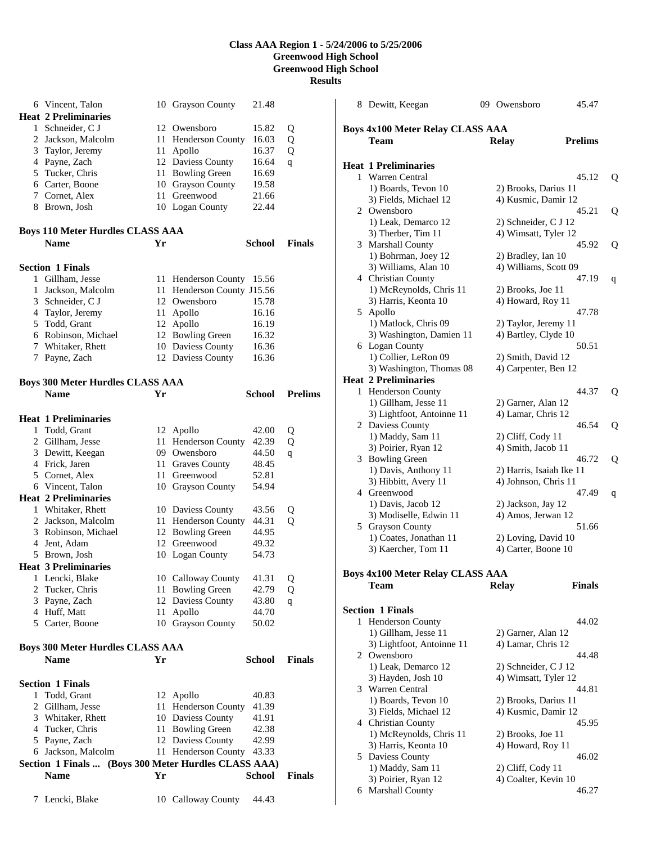|              | 6 Vincent, Talon                                     |     | 10 Grayson County       | 21.48         |                |
|--------------|------------------------------------------------------|-----|-------------------------|---------------|----------------|
|              | <b>Heat 2 Preliminaries</b>                          |     |                         |               |                |
|              | 1 Schneider, C J                                     |     | 12 Owensboro            | 15.82         | Q              |
|              | 2 Jackson, Malcolm                                   |     | 11 Henderson County     | 16.03         | Q              |
|              | 3 Taylor, Jeremy                                     | 11  | Apollo                  | 16.37         | Q              |
|              | 4 Payne, Zach                                        |     | 12 Daviess County       | 16.64         | q              |
|              | 5 Tucker, Chris                                      | 11  | <b>Bowling Green</b>    | 16.69         |                |
|              | 6 Carter, Boone                                      |     | 10 Grayson County       | 19.58         |                |
|              | 7 Cornet, Alex                                       | 11  | Greenwood               | 21.66         |                |
|              | 8 Brown, Josh                                        |     | 10 Logan County         | 22.44         |                |
|              |                                                      |     |                         |               |                |
|              | <b>Boys 110 Meter Hurdles CLASS AAA</b>              |     |                         |               |                |
|              | <b>Name</b>                                          | Yr  |                         | School        | <b>Finals</b>  |
|              |                                                      |     |                         |               |                |
|              | <b>Section 1 Finals</b>                              |     |                         |               |                |
|              | 1 Gillham, Jesse                                     | 11  | Henderson County        | 15.56         |                |
| 1            | Jackson, Malcolm                                     | 11  | Henderson County J15.56 |               |                |
|              | 3 Schneider, C J                                     |     | 12 Owensboro            | 15.78         |                |
|              | 4 Taylor, Jeremy                                     | 11  | Apollo                  | 16.16         |                |
|              | 5 Todd, Grant                                        |     | 12 Apollo               | 16.19         |                |
|              | 6 Robinson, Michael                                  |     | 12 Bowling Green        | 16.32         |                |
|              | 7 Whitaker, Rhett                                    |     | 10 Daviess County       | 16.36         |                |
|              | 7 Payne, Zach                                        |     | 12 Daviess County       | 16.36         |                |
|              |                                                      |     |                         |               |                |
|              | <b>Boys 300 Meter Hurdles CLASS AAA</b>              |     |                         |               |                |
|              | <b>Name</b>                                          | Yr  |                         | <b>School</b> | <b>Prelims</b> |
|              |                                                      |     |                         |               |                |
|              | <b>Heat 1 Preliminaries</b>                          |     |                         |               |                |
| $\mathbf{1}$ | Todd, Grant                                          |     | 12 Apollo               | 42.00         | Q              |
|              | 2 Gillham, Jesse                                     | 11  | <b>Henderson County</b> | 42.39         | Q              |
|              | 3 Dewitt, Keegan                                     |     | 09 Owensboro            | 44.50         | q              |
|              | 4 Frick, Jaren                                       |     | 11 Graves County        | 48.45         |                |
|              | 5 Cornet, Alex                                       | 11  | Greenwood               | 52.81         |                |
|              | 6 Vincent, Talon                                     |     | 10 Grayson County       | 54.94         |                |
|              | <b>Heat 2 Preliminaries</b>                          |     |                         |               |                |
|              | 1 Whitaker, Rhett                                    |     | 10 Daviess County       | 43.56         | Q              |
|              | 2 Jackson, Malcolm                                   |     | 11 Henderson County     | 44.31         | Q              |
|              | 3 Robinson, Michael                                  |     | 12 Bowling Green        | 44.95         |                |
|              | 4 Jent, Adam                                         |     | 12 Greenwood            | 49.32         |                |
|              | 5 Brown, Josh                                        |     | 10 Logan County         | 54.73         |                |
|              | <b>Heat 3 Preliminaries</b>                          |     |                         |               |                |
| 1            | Lencki, Blake                                        |     | 10 Calloway County      | 41.31         | Q              |
| 2            | Tucker, Chris                                        | 11. | <b>Bowling Green</b>    | 42.79         | Q              |
|              | 3 Payne, Zach                                        |     | 12 Daviess County       | 43.80         | q              |
|              | 4 Huff, Matt                                         | 11  | Apollo                  | 44.70         |                |
|              | 5 Carter, Boone                                      |     | 10 Grayson County       | 50.02         |                |
|              |                                                      |     |                         |               |                |
|              | <b>Boys 300 Meter Hurdles CLASS AAA</b>              |     |                         |               |                |
|              | <b>Name</b>                                          | Yr  |                         | School        | <b>Finals</b>  |
|              |                                                      |     |                         |               |                |
|              | <b>Section 1 Finals</b>                              |     |                         |               |                |
|              | 1 Todd, Grant                                        |     | 12 Apollo               | 40.83         |                |
|              | 2 Gillham, Jesse                                     | 11  | Henderson County        | 41.39         |                |
|              | 3 Whitaker, Rhett                                    |     | 10 Daviess County       | 41.91         |                |
|              | 4 Tucker, Chris                                      |     | 11 Bowling Green        | 42.38         |                |
|              | 5 Payne, Zach                                        |     | 12 Daviess County       | 42.99         |                |
|              | 6 Jackson, Malcolm                                   |     | 11 Henderson County     | 43.33         |                |
|              | Section 1 Finals  (Boys 300 Meter Hurdles CLASS AAA) |     |                         |               |                |
|              | Name                                                 | Yr  |                         | School        | <b>Finals</b>  |
|              |                                                      |     |                         |               |                |
|              | 7 Lencki, Blake                                      |     | 10 Calloway County      | 44.43         |                |

|   | 8 Dewitt, Keegan                                  | 09 Owensboro                                 | 45.47          |   |
|---|---------------------------------------------------|----------------------------------------------|----------------|---|
|   |                                                   |                                              |                |   |
|   | <b>Boys 4x100 Meter Relay CLASS AAA</b>           |                                              |                |   |
|   | Team                                              | <b>Relay</b>                                 | <b>Prelims</b> |   |
|   | <b>Heat 1 Preliminaries</b>                       |                                              |                |   |
|   | 1 Warren Central                                  |                                              | 45.12          | Q |
|   | 1) Boards, Tevon 10                               | 2) Brooks, Darius 11                         |                |   |
|   | 3) Fields, Michael 12                             | 4) Kusmic, Damir 12                          |                |   |
|   | 2 Owensboro                                       |                                              | 45.21          | Q |
|   | 1) Leak, Demarco 12                               | 2) Schneider, C J 12<br>4) Wimsatt, Tyler 12 |                |   |
|   | 3) Therber, Tim 11<br>3 Marshall County           |                                              | 45.92          | Q |
|   | 1) Bohrman, Joey 12                               | 2) Bradley, Ian 10                           |                |   |
|   | 3) Williams, Alan 10                              | 4) Williams, Scott 09                        |                |   |
|   | 4 Christian County                                |                                              | 47.19          | q |
|   | 1) McReynolds, Chris 11                           | 2) Brooks, Joe 11                            |                |   |
|   | 3) Harris, Keonta 10                              | 4) Howard, Roy 11                            |                |   |
|   | 5 Apollo<br>1) Matlock, Chris 09                  |                                              | 47.78          |   |
|   | 3) Washington, Damien 11                          | 2) Taylor, Jeremy 11<br>4) Bartley, Clyde 10 |                |   |
|   | 6 Logan County                                    |                                              | 50.51          |   |
|   | 1) Collier, LeRon 09                              | 2) Smith, David 12                           |                |   |
|   | 3) Washington, Thomas 08                          | 4) Carpenter, Ben 12                         |                |   |
|   | <b>Heat 2 Preliminaries</b>                       |                                              |                |   |
| 1 | <b>Henderson County</b>                           |                                              | 44.37          | Q |
|   | 1) Gillham, Jesse 11<br>3) Lightfoot, Antoinne 11 | 2) Garner, Alan 12<br>4) Lamar, Chris 12     |                |   |
|   | 2 Daviess County                                  |                                              | 46.54          | Q |
|   | 1) Maddy, Sam 11                                  | 2) Cliff, Cody 11                            |                |   |
|   | 3) Poirier, Ryan 12                               | 4) Smith, Jacob 11                           |                |   |
|   | 3 Bowling Green                                   |                                              | 46.72          | Q |
|   | 1) Davis, Anthony 11                              | 2) Harris, Isaiah Ike 11                     |                |   |
|   | 3) Hibbitt, Avery 11                              | 4) Johnson, Chris 11                         |                |   |
|   | 4 Greenwood<br>1) Davis, Jacob 12                 | 2) Jackson, Jay 12                           | 47.49          | q |
|   | 3) Modiselle, Edwin 11                            | 4) Amos, Jerwan 12                           |                |   |
|   | 5 Grayson County                                  |                                              | 51.66          |   |
|   | 1) Coates, Jonathan 11                            | 2) Loving, David 10                          |                |   |
|   | 3) Kaercher, Tom 11                               | 4) Carter, Boone 10                          |                |   |
|   |                                                   |                                              |                |   |
|   | <b>Boys 4x100 Meter Relay CLASS AAA</b>           |                                              |                |   |
|   | <b>Team</b>                                       | <b>Relay</b>                                 | <b>Finals</b>  |   |
|   | <b>Section 1 Finals</b>                           |                                              |                |   |
| 1 | Henderson County                                  |                                              | 44.02          |   |
|   | 1) Gillham, Jesse 11                              | 2) Garner, Alan 12                           |                |   |
|   | 3) Lightfoot, Antoinne 11                         | 4) Lamar, Chris 12                           |                |   |
|   | 2 Owensboro                                       |                                              | 44.48          |   |
|   | 1) Leak, Demarco 12<br>3) Hayden, Josh 10         | 2) Schneider, C J 12<br>4) Wimsatt, Tyler 12 |                |   |
|   | 3 Warren Central                                  |                                              | 44.81          |   |
|   | 1) Boards, Tevon 10                               | 2) Brooks, Darius 11                         |                |   |
|   | 3) Fields, Michael 12                             | 4) Kusmic, Damir 12                          |                |   |
|   | 4 Christian County                                |                                              | 45.95          |   |
|   | 1) McReynolds, Chris 11                           | 2) Brooks, Joe 11                            |                |   |
|   | 3) Harris, Keonta 10                              | 4) Howard, Roy 11                            |                |   |
|   | 5 Daviess County<br>1) Maddy, Sam 11              | 2) Cliff, Cody 11                            | 46.02          |   |
|   | 3) Poirier, Ryan 12                               | 4) Coalter, Kevin 10                         |                |   |
|   | 6 Marshall County                                 |                                              | 46.27          |   |
|   |                                                   |                                              |                |   |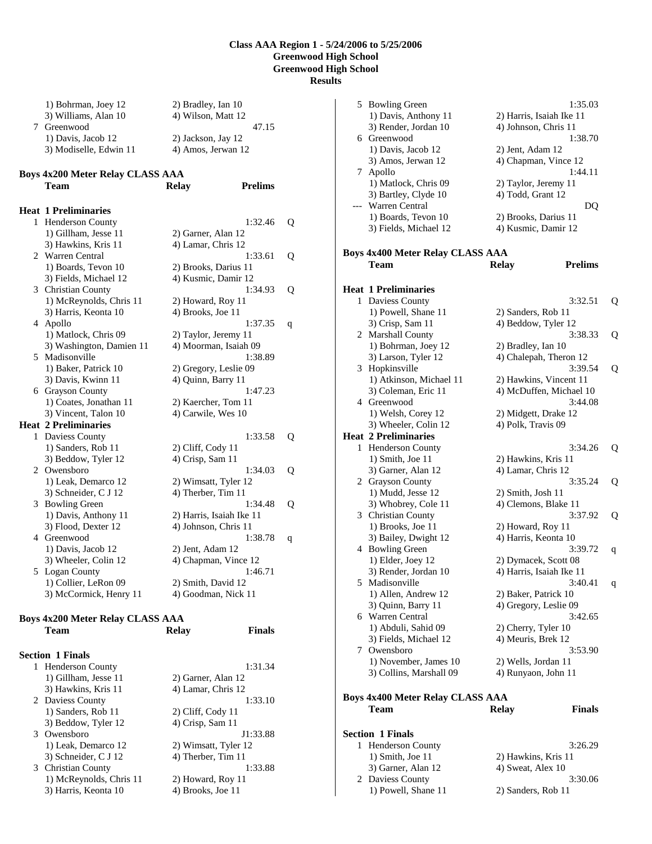1) Bohrman, Joey 12 2) Bradley, Ian 10 3) Williams, Alan 10 4) Wilson, Matt 12 7 Greenwood 47.15 1) Davis, Jacob 12 2) Jackson, Jay 12 3) Modiselle, Edwin 11 4) Amos, Jerwan 12

## **Boys 4x200 Meter Relay CLASS AAA**

|   | Team                        | <b>Relay</b>          | <b>Prelims</b>           |   |
|---|-----------------------------|-----------------------|--------------------------|---|
|   | <b>Heat 1 Preliminaries</b> |                       |                          |   |
| 1 | <b>Henderson County</b>     |                       | 1:32.46                  | Q |
|   | 1) Gillham, Jesse 11        | 2) Garner, Alan 12    |                          |   |
|   | 3) Hawkins, Kris 11         | 4) Lamar, Chris 12    |                          |   |
| 2 | Warren Central              |                       | 1:33.61                  | Q |
|   | 1) Boards, Tevon 10         | 2) Brooks, Darius 11  |                          |   |
|   | 3) Fields, Michael 12       | 4) Kusmic, Damir 12   |                          |   |
|   | 3 Christian County          |                       | 1:34.93                  | Q |
|   | 1) McReynolds, Chris 11     | 2) Howard, Roy 11     |                          |   |
|   | 3) Harris, Keonta 10        | 4) Brooks, Joe 11     |                          |   |
|   | 4 Apollo                    |                       | 1:37.35                  | q |
|   | 1) Matlock, Chris 09        | 2) Taylor, Jeremy 11  |                          |   |
|   | 3) Washington, Damien 11    |                       | 4) Moorman, Isaiah 09    |   |
| 5 | Madisonville                |                       | 1:38.89                  |   |
|   | 1) Baker, Patrick 10        | 2) Gregory, Leslie 09 |                          |   |
|   | 3) Davis, Kwinn 11          | 4) Quinn, Barry 11    |                          |   |
|   | 6 Grayson County            |                       | 1:47.23                  |   |
|   | 1) Coates, Jonathan 11      | 2) Kaercher, Tom 11   |                          |   |
|   | 3) Vincent, Talon 10        | 4) Carwile, Wes 10    |                          |   |
|   | <b>Heat 2 Preliminaries</b> |                       |                          |   |
| 1 | Daviess County              |                       | 1:33.58                  | Q |
|   | 1) Sanders, Rob 11          | 2) Cliff, Cody 11     |                          |   |
|   | 3) Beddow, Tyler 12         | 4) Crisp, Sam 11      |                          |   |
| 2 | Owensboro                   |                       | 1:34.03                  | Q |
|   | 1) Leak, Demarco 12         | 2) Wimsatt, Tyler 12  |                          |   |
|   | 3) Schneider, C J 12        | 4) Therber, Tim 11    |                          |   |
| 3 | <b>Bowling Green</b>        |                       | 1:34.48                  | Q |
|   | 1) Davis, Anthony 11        |                       | 2) Harris, Isaiah Ike 11 |   |
|   | 3) Flood, Dexter 12         | 4) Johnson, Chris 11  |                          |   |
|   | 4 Greenwood                 |                       | 1:38.78                  | q |
|   | 1) Davis, Jacob 12          | 2) Jent, Adam 12      |                          |   |
|   | 3) Wheeler, Colin 12        |                       | 4) Chapman, Vince 12     |   |
| 5 | Logan County                |                       | 1:46.71                  |   |
|   | 1) Collier, LeRon 09        | 2) Smith, David 12    |                          |   |
|   | 3) McCormick, Henry 11      | 4) Goodman, Nick 11   |                          |   |

# **Boys 4x200 Meter Relay CLASS AAA**

| Team                    | <b>Relay</b>         | Finals   |
|-------------------------|----------------------|----------|
| <b>Section 1 Finals</b> |                      |          |
| 1 Henderson County      |                      | 1:31.34  |
| 1) Gillham, Jesse 11    | 2) Garner, Alan 12   |          |
| 3) Hawkins, Kris 11     | 4) Lamar, Chris 12   |          |
| 2 Daviess County        |                      | 1:33.10  |
| 1) Sanders, Rob 11      | $2)$ Cliff, Cody 11  |          |
| 3) Beddow, Tyler 12     | $(4)$ Crisp, Sam 11  |          |
| 3 Owensboro             |                      | J1:33.88 |
| 1) Leak, Demarco 12     | 2) Wimsatt, Tyler 12 |          |
| 3) Schneider, C J 12    | 4) Therber, Tim 11   |          |
| 3 Christian County      |                      | 1:33.88  |
| 1) McReynolds, Chris 11 | 2) Howard, Roy 11    |          |
| 3) Harris, Keonta 10    | 4) Brooks, Joe 11    |          |

|    | 5 Bowling Green                            | 1:35.03                                           |   |
|----|--------------------------------------------|---------------------------------------------------|---|
|    | 1) Davis, Anthony 11                       | 2) Harris, Isaiah Ike 11                          |   |
|    | 3) Render, Jordan 10                       | 4) Johnson, Chris 11                              |   |
|    | 6 Greenwood                                | 1:38.70                                           |   |
|    | 1) Davis, Jacob 12                         | 2) Jent, Adam 12                                  |   |
|    | 3) Amos, Jerwan 12                         | 4) Chapman, Vince 12                              |   |
|    | 7 Apollo                                   | 1:44.11                                           |   |
|    | 1) Matlock, Chris 09                       | 2) Taylor, Jeremy 11                              |   |
|    | 3) Bartley, Clyde 10                       | 4) Todd, Grant 12                                 |   |
|    | <b>Warren Central</b>                      | DQ                                                |   |
|    | 1) Boards, Tevon 10                        | 2) Brooks, Darius 11                              |   |
|    | 3) Fields, Michael 12                      | 4) Kusmic, Damir 12                               |   |
|    |                                            |                                                   |   |
|    | <b>Boys 4x400 Meter Relay CLASS AAA</b>    |                                                   |   |
|    | <b>Team</b>                                | <b>Prelims</b><br><b>Relay</b>                    |   |
|    |                                            |                                                   |   |
|    | <b>Heat 1 Preliminaries</b>                |                                                   |   |
| 1  | Daviess County                             | 3:32.51                                           | Q |
|    | 1) Powell, Shane 11                        | 2) Sanders, Rob 11                                |   |
|    | 3) Crisp, Sam 11                           | 4) Beddow, Tyler 12                               |   |
|    | 2 Marshall County                          | 3:38.33                                           | Q |
|    | 1) Bohrman, Joey 12                        | 2) Bradley, Ian 10                                |   |
|    | 3) Larson, Tyler 12                        | 4) Chalepah, Theron 12                            |   |
|    | 3 Hopkinsville<br>1) Atkinson, Michael 11  | 3:39.54                                           | Q |
|    | 3) Coleman, Eric 11                        | 2) Hawkins, Vincent 11<br>4) McDuffen, Michael 10 |   |
|    | 4 Greenwood                                | 3:44.08                                           |   |
|    |                                            |                                                   |   |
|    | 1) Welsh, Corey 12<br>3) Wheeler, Colin 12 | 2) Midgett, Drake 12<br>4) Polk, Travis 09        |   |
|    | <b>Heat 2 Preliminaries</b>                |                                                   |   |
| 1  | Henderson County                           | 3:34.26                                           | Q |
|    | 1) Smith, Joe 11                           | 2) Hawkins, Kris 11                               |   |
|    | 3) Garner, Alan 12                         | 4) Lamar, Chris 12                                |   |
|    | 2 Grayson County                           | 3:35.24                                           | Q |
|    | 1) Mudd, Jesse 12                          | 2) Smith, Josh 11                                 |   |
|    | 3) Whobrey, Cole 11                        | 4) Clemons, Blake 11                              |   |
|    | 3 Christian County                         | 3:37.92                                           | Q |
|    | 1) Brooks, Joe 11                          | 2) Howard, Roy 11                                 |   |
|    | 3) Bailey, Dwight 12                       | 4) Harris, Keonta 10                              |   |
| 4  | <b>Bowling Green</b>                       | 3:39.72                                           | q |
|    | 1) Elder, Joey 12                          | 2) Dymacek, Scott 08                              |   |
|    | 3) Render, Jordan 10                       | 4) Harris, Isaiah Ike 11                          |   |
| 5. | Madisonville                               | 3:40.41                                           | q |
|    | 1) Allen, Andrew 12                        | 2) Baker, Patrick 10                              |   |
|    | 3) Quinn, Barry 11                         | 4) Gregory, Leslie 09                             |   |
|    | 6 Warren Central                           | 3:42.65                                           |   |
|    | 1) Abduli, Sahid 09                        | 2) Cherry, Tyler 10                               |   |
|    | 3) Fields, Michael 12                      | 4) Meuris, Brek 12                                |   |
|    | 7 Owensboro                                | 3:53.90                                           |   |
|    | 1) November, James 10                      | 2) Wells, Jordan 11                               |   |
|    | 3) Collins, Marshall 09                    | 4) Runyaon, John 11                               |   |
|    |                                            |                                                   |   |
|    | <b>Boys 4x400 Meter Relay CLASS AAA</b>    |                                                   |   |
|    | <b>Team</b>                                | <b>Relay</b><br><b>Finals</b>                     |   |
|    |                                            |                                                   |   |
|    | <b>Section 1 Finals</b>                    |                                                   |   |
|    | 1 Henderson County                         | 3:26.29                                           |   |

| 1 Henderson County   | 3:26.29             |
|----------------------|---------------------|
| $1)$ Smith, Joe $11$ | 2) Hawkins, Kris 11 |
| 3) Garner, Alan 12   | 4) Sweat, Alex 10   |
| 2 Daviess County     | 3:30.06             |
| 1) Powell, Shane 11  | 2) Sanders, Rob 11  |